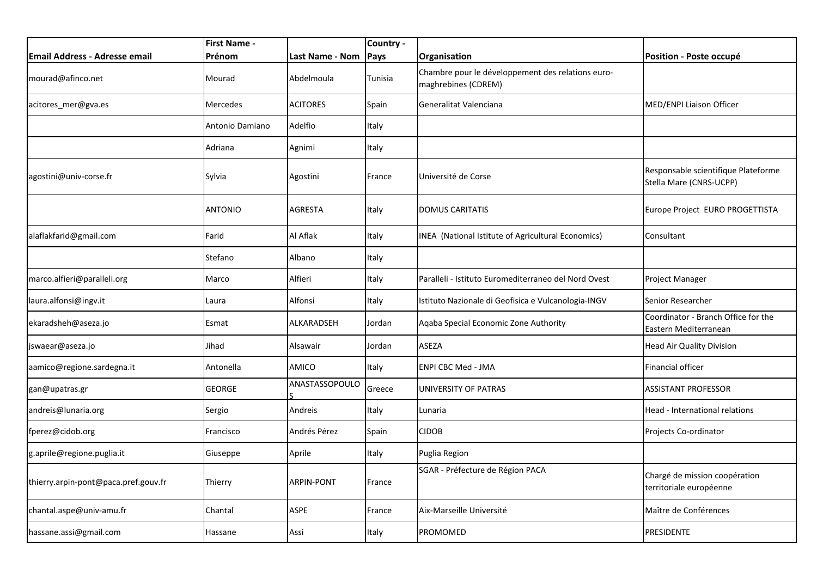|                                      | <b>First Name -</b> |                   | Country - |                                                                          |                                                                |
|--------------------------------------|---------------------|-------------------|-----------|--------------------------------------------------------------------------|----------------------------------------------------------------|
| <b>Email Address - Adresse email</b> | Prénom              | Last Name - Nom   | Pays      | Organisation                                                             | <b>Position - Poste occupé</b>                                 |
| mourad@afinco.net                    | Mourad              | Abdelmoula        | Tunisia   | Chambre pour le développement des relations euro-<br>maghrebines (CDREM) |                                                                |
| acitores_mer@gva.es                  | Mercedes            | <b>ACITORES</b>   | Spain     | Generalitat Valenciana                                                   | MED/ENPI Liaison Officer                                       |
|                                      | Antonio Damiano     | Adelfio           | Italy     |                                                                          |                                                                |
|                                      | Adriana             | Agnimi            | Italy     |                                                                          |                                                                |
| agostini@univ-corse.fr               | Sylvia              | Agostini          | France    | Université de Corse                                                      | Responsable scientifique Plateforme<br>Stella Mare (CNRS-UCPP) |
|                                      | <b>ANTONIO</b>      | <b>AGRESTA</b>    | Italy     | <b>DOMUS CARITATIS</b>                                                   | Europe Project EURO PROGETTISTA                                |
| alaflakfarid@gmail.com               | Farid               | Al Aflak          | Italy     | INEA (National Istitute of Agricultural Economics)                       | Consultant                                                     |
|                                      | Stefano             | Albano            | Italy     |                                                                          |                                                                |
| marco.alfieri@paralleli.org          | Marco               | Alfieri           | Italy     | Paralleli - Istituto Euromediterraneo del Nord Ovest                     | Project Manager                                                |
| laura.alfonsi@ingv.it                | Laura               | Alfonsi           | Italy     | Istituto Nazionale di Geofisica e Vulcanologia-INGV                      | Senior Researcher                                              |
| ekaradsheh@aseza.jo                  | Esmat               | <b>ALKARADSEH</b> | Jordan    | Aqaba Special Economic Zone Authority                                    | Coordinator - Branch Office for the<br>Eastern Mediterranean   |
| jswaear@aseza.jo                     | Jihad               | Alsawair          | Jordan    | ASEZA                                                                    | <b>Head Air Quality Division</b>                               |
| aamico@regione.sardegna.it           | Antonella           | AMICO             | Italy     | <b>ENPI CBC Med - JMA</b>                                                | Financial officer                                              |
| gan@upatras.gr                       | <b>GEORGE</b>       | ANASTASSOPOULO    | Greece    | UNIVERSITY OF PATRAS                                                     | <b>ASSISTANT PROFESSOR</b>                                     |
| andreis@lunaria.org                  | Sergio              | Andreis           | Italy     | Lunaria                                                                  | Head - International relations                                 |
| fperez@cidob.org                     | Francisco           | Andrés Pérez      | Spain     | <b>CIDOB</b>                                                             | Projects Co-ordinator                                          |
| g.aprile@regione.puglia.it           | Giuseppe            | Aprile            | Italy     | Puglia Region                                                            |                                                                |
| thierry.arpin-pont@paca.pref.gouv.fr | Thierry             | <b>ARPIN-PONT</b> | France    | SGAR - Préfecture de Région PACA                                         | Chargé de mission coopération<br>territoriale européenne       |
| chantal.aspe@univ-amu.fr             | Chantal             | ASPE              | France    | Aix-Marseille Université                                                 | Maître de Conférences                                          |
| hassane.assi@gmail.com               | Hassane             | Assi              | Italy     | <b>PROMOMED</b>                                                          | PRESIDENTE                                                     |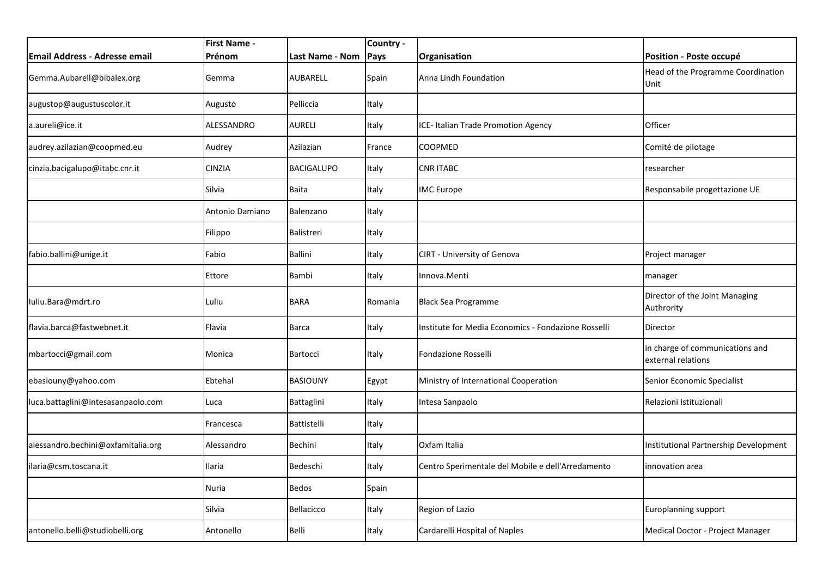|                                    | <b>First Name -</b> |                   | Country - |                                                     |                                                       |
|------------------------------------|---------------------|-------------------|-----------|-----------------------------------------------------|-------------------------------------------------------|
| Email Address - Adresse email      | Prénom              | Last Name - Nom   | Pays      | Organisation                                        | Position - Poste occupé                               |
| Gemma.Aubarell@bibalex.org         | Gemma               | AUBARELL          | Spain     | Anna Lindh Foundation                               | Head of the Programme Coordination<br>Unit            |
| augustop@augustuscolor.it          | Augusto             | Pelliccia         | Italy     |                                                     |                                                       |
| a.aureli@ice.it                    | ALESSANDRO          | AURELI            | Italy     | ICE- Italian Trade Promotion Agency                 | Officer                                               |
| audrey.azilazian@coopmed.eu        | Audrey              | Azilazian         | France    | <b>COOPMED</b>                                      | Comité de pilotage                                    |
| cinzia.bacigalupo@itabc.cnr.it     | CINZIA              | <b>BACIGALUPO</b> | Italy     | <b>CNR ITABC</b>                                    | researcher                                            |
|                                    | Silvia              | <b>Baita</b>      | Italy     | <b>IMC</b> Europe                                   | Responsabile progettazione UE                         |
|                                    | Antonio Damiano     | Balenzano         | Italy     |                                                     |                                                       |
|                                    | Filippo             | Balistreri        | Italy     |                                                     |                                                       |
| fabio.ballini@unige.it             | Fabio               | <b>Ballini</b>    | Italy     | CIRT - University of Genova                         | Project manager                                       |
|                                    | Ettore              | Bambi             | Italy     | Innova.Menti                                        | manager                                               |
| Iuliu.Bara@mdrt.ro                 | Luliu               | <b>BARA</b>       | Romania   | <b>Black Sea Programme</b>                          | Director of the Joint Managing<br>Authrority          |
| flavia.barca@fastwebnet.it         | Flavia              | <b>Barca</b>      | Italy     | Institute for Media Economics - Fondazione Rosselli | Director                                              |
| mbartocci@gmail.com                | Monica              | Bartocci          | Italy     | Fondazione Rosselli                                 | in charge of communications and<br>external relations |
| ebasiouny@yahoo.com                | Ebtehal             | <b>BASIOUNY</b>   | Egypt     | Ministry of International Cooperation               | Senior Economic Specialist                            |
| luca.battaglini@intesasanpaolo.com | Luca                | Battaglini        | Italy     | Intesa Sanpaolo                                     | Relazioni Istituzionali                               |
|                                    | Francesca           | Battistelli       | Italy     |                                                     |                                                       |
| alessandro.bechini@oxfamitalia.org | Alessandro          | Bechini           | Italy     | Oxfam Italia                                        | Institutional Partnership Development                 |
| ilaria@csm.toscana.it              | Ilaria              | Bedeschi          | Italy     | Centro Sperimentale del Mobile e dell'Arredamento   | innovation area                                       |
|                                    | Nuria               | <b>Bedos</b>      | Spain     |                                                     |                                                       |
|                                    | Silvia              | Bellacicco        | Italy     | Region of Lazio                                     | Europlanning support                                  |
| antonello.belli@studiobelli.org    | Antonello           | Belli             | Italy     | Cardarelli Hospital of Naples                       | Medical Doctor - Project Manager                      |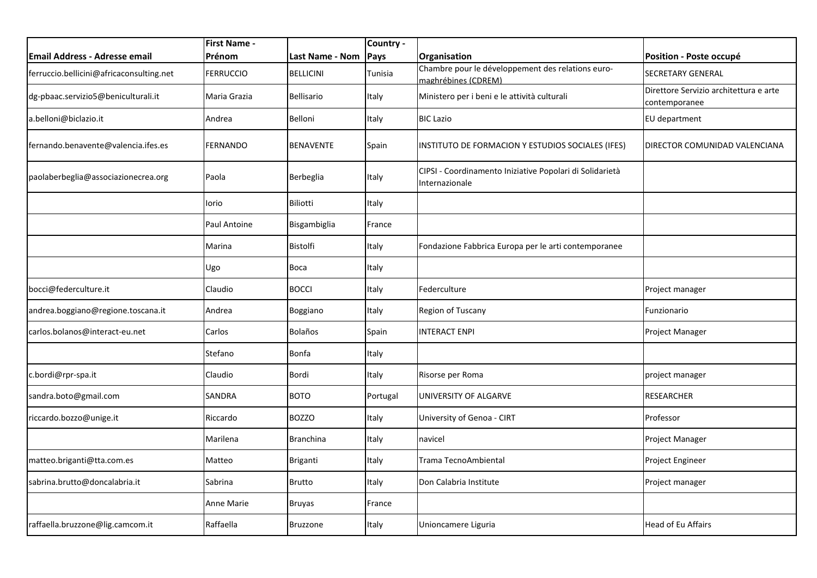|                                          | <b>First Name -</b> |                        | Country - |                                                                            |                                                         |
|------------------------------------------|---------------------|------------------------|-----------|----------------------------------------------------------------------------|---------------------------------------------------------|
| <b>Email Address - Adresse email</b>     | Prénom              | <b>Last Name - Nom</b> | Pays      | Organisation                                                               | Position - Poste occupé                                 |
| ferruccio.bellicini@africaconsulting.net | FERRUCCIO           | <b>BELLICINI</b>       | Tunisia   | Chambre pour le développement des relations euro-<br>maghrébines (CDREM)   | SECRETARY GENERAL                                       |
| dg-pbaac.servizio5@beniculturali.it      | Maria Grazia        | Bellisario             | Italy     | Ministero per i beni e le attività culturali                               | Direttore Servizio architettura e arte<br>contemporanee |
| a.belloni@biclazio.it                    | Andrea              | Belloni                | Italy     | <b>BIC Lazio</b>                                                           | EU department                                           |
| fernando.benavente@valencia.ifes.es      | FERNANDO            | <b>BENAVENTE</b>       | Spain     | INSTITUTO DE FORMACION Y ESTUDIOS SOCIALES (IFES)                          | DIRECTOR COMUNIDAD VALENCIANA                           |
| paolaberbeglia@associazionecrea.org      | Paola               | Berbeglia              | Italy     | CIPSI - Coordinamento Iniziative Popolari di Solidarietà<br>Internazionale |                                                         |
|                                          | lorio               | <b>Biliotti</b>        | Italy     |                                                                            |                                                         |
|                                          | Paul Antoine        | Bisgambiglia           | France    |                                                                            |                                                         |
|                                          | Marina              | Bistolfi               | Italy     | Fondazione Fabbrica Europa per le arti contemporanee                       |                                                         |
|                                          | Ugo                 | Boca                   | Italy     |                                                                            |                                                         |
| bocci@federculture.it                    | Claudio             | <b>BOCCI</b>           | Italy     | Federculture                                                               | Project manager                                         |
| andrea.boggiano@regione.toscana.it       | Andrea              | Boggiano               | Italy     | Region of Tuscany                                                          | Funzionario                                             |
| carlos.bolanos@interact-eu.net           | Carlos              | <b>Bolaños</b>         | Spain     | <b>INTERACT ENPI</b>                                                       | Project Manager                                         |
|                                          | Stefano             | <b>Bonfa</b>           | Italy     |                                                                            |                                                         |
| c.bordi@rpr-spa.it                       | Claudio             | Bordi                  | Italy     | Risorse per Roma                                                           | project manager                                         |
| sandra.boto@gmail.com                    | SANDRA              | <b>BOTO</b>            | Portugal  | UNIVERSITY OF ALGARVE                                                      | <b>RESEARCHER</b>                                       |
| riccardo.bozzo@unige.it                  | Riccardo            | <b>BOZZO</b>           | Italy     | University of Genoa - CIRT                                                 | Professor                                               |
|                                          | Marilena            | <b>Branchina</b>       | Italy     | navicel                                                                    | Project Manager                                         |
| matteo.briganti@tta.com.es               | Matteo              | Briganti               | Italy     | Trama TecnoAmbiental                                                       | Project Engineer                                        |
| sabrina.brutto@doncalabria.it            | Sabrina             | <b>Brutto</b>          | Italy     | Don Calabria Institute                                                     | Project manager                                         |
|                                          | <b>Anne Marie</b>   | <b>Bruyas</b>          | France    |                                                                            |                                                         |
| raffaella.bruzzone@lig.camcom.it         | Raffaella           | <b>Bruzzone</b>        | Italy     | Unioncamere Liguria                                                        | <b>Head of Eu Affairs</b>                               |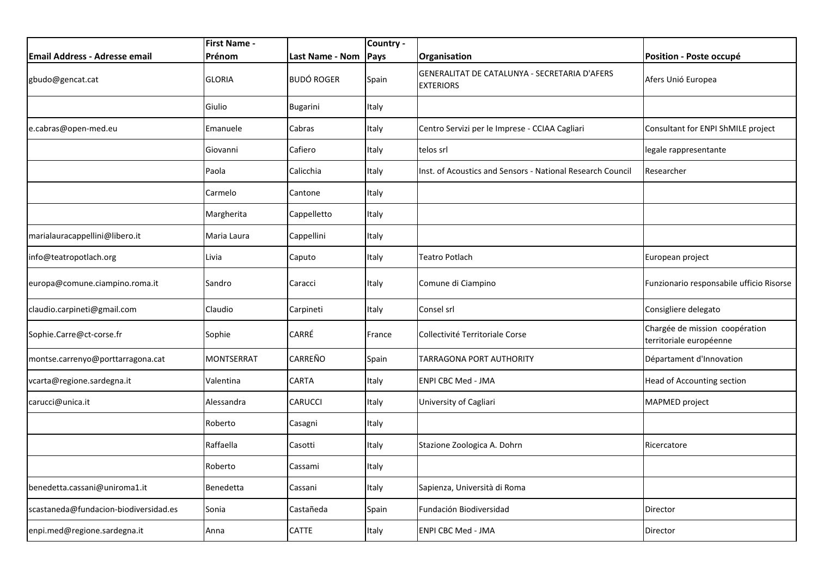|                                       | <b>First Name -</b> |                   | Country - |                                                                   |                                                           |
|---------------------------------------|---------------------|-------------------|-----------|-------------------------------------------------------------------|-----------------------------------------------------------|
| <b>Email Address - Adresse email</b>  | Prénom              | Last Name - Nom   | Pays      | Organisation                                                      | Position - Poste occupé                                   |
| gbudo@gencat.cat                      | <b>GLORIA</b>       | <b>BUDÓ ROGER</b> | Spain     | GENERALITAT DE CATALUNYA - SECRETARIA D'AFERS<br><b>EXTERIORS</b> | Afers Unió Europea                                        |
|                                       | Giulio              | <b>Bugarini</b>   | Italy     |                                                                   |                                                           |
| e.cabras@open-med.eu                  | Emanuele            | Cabras            | Italy     | Centro Servizi per le Imprese - CCIAA Cagliari                    | Consultant for ENPI ShMILE project                        |
|                                       | Giovanni            | Cafiero           | Italy     | telos srl                                                         | legale rappresentante                                     |
|                                       | Paola               | Calicchia         | Italy     | Inst. of Acoustics and Sensors - National Research Council        | Researcher                                                |
|                                       | Carmelo             | Cantone           | Italy     |                                                                   |                                                           |
|                                       | Margherita          | Cappelletto       | Italy     |                                                                   |                                                           |
| marialauracappellini@libero.it        | Maria Laura         | Cappellini        | Italy     |                                                                   |                                                           |
| info@teatropotlach.org                | Livia               | Caputo            | Italy     | Teatro Potlach                                                    | European project                                          |
| europa@comune.ciampino.roma.it        | Sandro              | Caracci           | Italy     | Comune di Ciampino                                                | Funzionario responsabile ufficio Risorse                  |
| claudio.carpineti@gmail.com           | Claudio             | Carpineti         | Italy     | Consel srl                                                        | Consigliere delegato                                      |
| Sophie.Carre@ct-corse.fr              | Sophie              | CARRÉ             | France    | Collectivité Territoriale Corse                                   | Chargée de mission coopération<br>territoriale européenne |
| montse.carrenyo@porttarragona.cat     | <b>MONTSERRAT</b>   | <b>CARREÑO</b>    | Spain     | <b>TARRAGONA PORT AUTHORITY</b>                                   | Départament d'Innovation                                  |
| vcarta@regione.sardegna.it            | Valentina           | <b>CARTA</b>      | Italy     | <b>ENPI CBC Med - JMA</b>                                         | <b>Head of Accounting section</b>                         |
| carucci@unica.it                      | Alessandra          | CARUCCI           | Italy     | University of Cagliari                                            | MAPMED project                                            |
|                                       | Roberto             | Casagni           | Italy     |                                                                   |                                                           |
|                                       | Raffaella           | Casotti           | Italy     | Stazione Zoologica A. Dohrn                                       | Ricercatore                                               |
|                                       | Roberto             | Cassami           | Italy     |                                                                   |                                                           |
| benedetta.cassani@uniroma1.it         | Benedetta           | Cassani           | Italy     | Sapienza, Università di Roma                                      |                                                           |
| scastaneda@fundacion-biodiversidad.es | Sonia               | Castañeda         | Spain     | Fundación Biodiversidad                                           | Director                                                  |
| enpi.med@regione.sardegna.it          | Anna                | CATTE             | Italy     | <b>ENPI CBC Med - JMA</b>                                         | Director                                                  |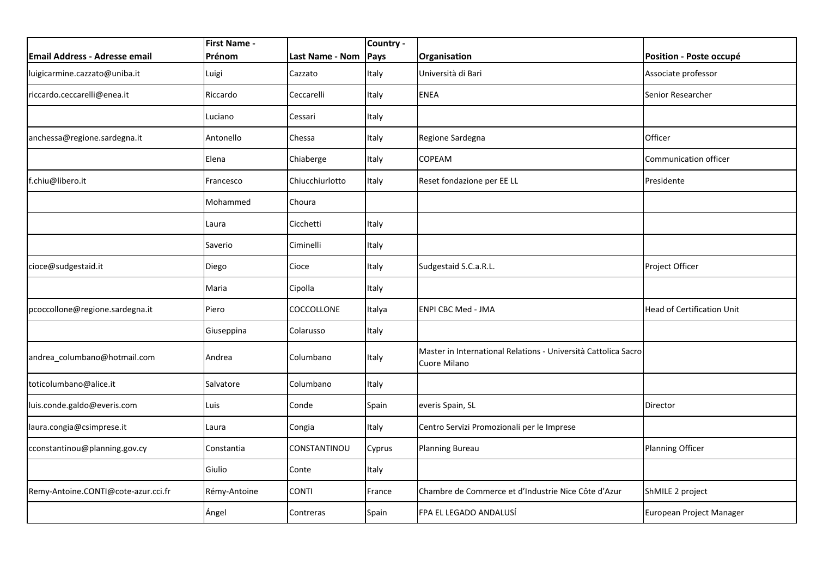|                                     | <b>First Name -</b> |                 | Country - |                                                                                       |                                   |
|-------------------------------------|---------------------|-----------------|-----------|---------------------------------------------------------------------------------------|-----------------------------------|
| Email Address - Adresse email       | Prénom              | Last Name - Nom | Pays      | Organisation                                                                          | Position - Poste occupé           |
| luigicarmine.cazzato@uniba.it       | Luigi               | Cazzato         | Italy     | Università di Bari                                                                    | Associate professor               |
| riccardo.ceccarelli@enea.it         | Riccardo            | Ceccarelli      | Italy     | <b>ENEA</b>                                                                           | Senior Researcher                 |
|                                     | Luciano             | Cessari         | Italy     |                                                                                       |                                   |
| anchessa@regione.sardegna.it        | Antonello           | Chessa          | Italy     | Regione Sardegna                                                                      | Officer                           |
|                                     | Elena               | Chiaberge       | Italy     | <b>COPEAM</b>                                                                         | Communication officer             |
| f.chiu@libero.it                    | Francesco           | Chiucchiurlotto | Italy     | Reset fondazione per EE LL                                                            | Presidente                        |
|                                     | Mohammed            | Choura          |           |                                                                                       |                                   |
|                                     | Laura               | Cicchetti       | Italy     |                                                                                       |                                   |
|                                     | Saverio             | Ciminelli       | Italy     |                                                                                       |                                   |
| cioce@sudgestaid.it                 | Diego               | Cioce           | Italy     | Sudgestaid S.C.a.R.L.                                                                 | Project Officer                   |
|                                     | Maria               | Cipolla         | Italy     |                                                                                       |                                   |
| pcoccollone@regione.sardegna.it     | Piero               | COCCOLLONE      | Italya    | <b>ENPI CBC Med - JMA</b>                                                             | <b>Head of Certification Unit</b> |
|                                     | Giuseppina          | Colarusso       | Italy     |                                                                                       |                                   |
| andrea_columbano@hotmail.com        | Andrea              | Columbano       | Italy     | Master in International Relations - Università Cattolica Sacro<br><b>Cuore Milano</b> |                                   |
| toticolumbano@alice.it              | Salvatore           | Columbano       | Italy     |                                                                                       |                                   |
| luis.conde.galdo@everis.com         | Luis                | Conde           | Spain     | everis Spain, SL                                                                      | Director                          |
| laura.congia@csimprese.it           | Laura               | Congia          | Italy     | Centro Servizi Promozionali per le Imprese                                            |                                   |
| cconstantinou@planning.gov.cy       | Constantia          | CONSTANTINOU    | Cyprus    | <b>Planning Bureau</b>                                                                | Planning Officer                  |
|                                     | Giulio              | Conte           | Italy     |                                                                                       |                                   |
| Remy-Antoine.CONTI@cote-azur.cci.fr | Rémy-Antoine        | CONTI           | France    | Chambre de Commerce et d'Industrie Nice Côte d'Azur                                   | ShMILE 2 project                  |
|                                     | Ángel               | Contreras       | Spain     | FPA EL LEGADO ANDALUSÍ                                                                | European Project Manager          |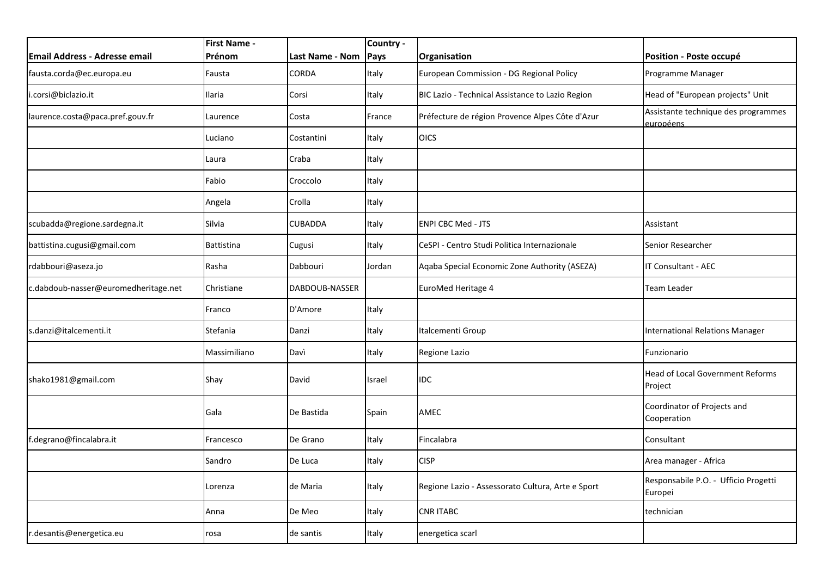|                                      | <b>First Name -</b> |                 | Country - |                                                   |                                                         |
|--------------------------------------|---------------------|-----------------|-----------|---------------------------------------------------|---------------------------------------------------------|
| <b>Email Address - Adresse email</b> | <b>Prénom</b>       | Last Name - Nom | Pays      | Organisation                                      | Position - Poste occupé                                 |
| fausta.corda@ec.europa.eu            | Fausta              | CORDA           | Italy     | European Commission - DG Regional Policy          | Programme Manager                                       |
| i.corsi@biclazio.it                  | Ilaria              | Corsi           | Italy     | BIC Lazio - Technical Assistance to Lazio Region  | Head of "European projects" Unit                        |
| laurence.costa@paca.pref.gouv.fr     | Laurence            | Costa           | France    | Préfecture de région Provence Alpes Côte d'Azur   | Assistante technique des programmes<br><u>européens</u> |
|                                      | Luciano             | Costantini      | Italy     | <b>OICS</b>                                       |                                                         |
|                                      | Laura               | Craba           | Italy     |                                                   |                                                         |
|                                      | Fabio               | Croccolo        | Italy     |                                                   |                                                         |
|                                      | Angela              | Crolla          | Italy     |                                                   |                                                         |
| scubadda@regione.sardegna.it         | Silvia              | <b>CUBADDA</b>  | Italy     | <b>ENPI CBC Med - JTS</b>                         | Assistant                                               |
| battistina.cugusi@gmail.com          | <b>Battistina</b>   | Cugusi          | Italy     | CeSPI - Centro Studi Politica Internazionale      | Senior Researcher                                       |
| rdabbouri@aseza.jo                   | Rasha               | Dabbouri        | Jordan    | Aqaba Special Economic Zone Authority (ASEZA)     | IT Consultant - AEC                                     |
| c.dabdoub-nasser@euromedheritage.net | Christiane          | DABDOUB-NASSER  |           | EuroMed Heritage 4                                | Team Leader                                             |
|                                      | Franco              | D'Amore         | Italy     |                                                   |                                                         |
| s.danzi@italcementi.it               | Stefania            | Danzi           | Italy     | Italcementi Group                                 | International Relations Manager                         |
|                                      | Massimiliano        | Davì            | Italy     | Regione Lazio                                     | Funzionario                                             |
| shako1981@gmail.com                  | Shay                | David           | Israel    | IDC                                               | Head of Local Government Reforms<br>Project             |
|                                      | Gala                | De Bastida      | Spain     | AMEC                                              | Coordinator of Projects and<br>Cooperation              |
| f.degrano@fincalabra.it              | Francesco           | De Grano        | Italy     | Fincalabra                                        | Consultant                                              |
|                                      | Sandro              | De Luca         | Italy     | <b>CISP</b>                                       | Area manager - Africa                                   |
|                                      | Lorenza             | de Maria        | Italy     | Regione Lazio - Assessorato Cultura, Arte e Sport | Responsabile P.O. - Ufficio Progetti<br>Europei         |
|                                      | Anna                | De Meo          | Italy     | <b>CNR ITABC</b>                                  | technician                                              |
| r.desantis@energetica.eu             | rosa                | de santis       | Italy     | energetica scarl                                  |                                                         |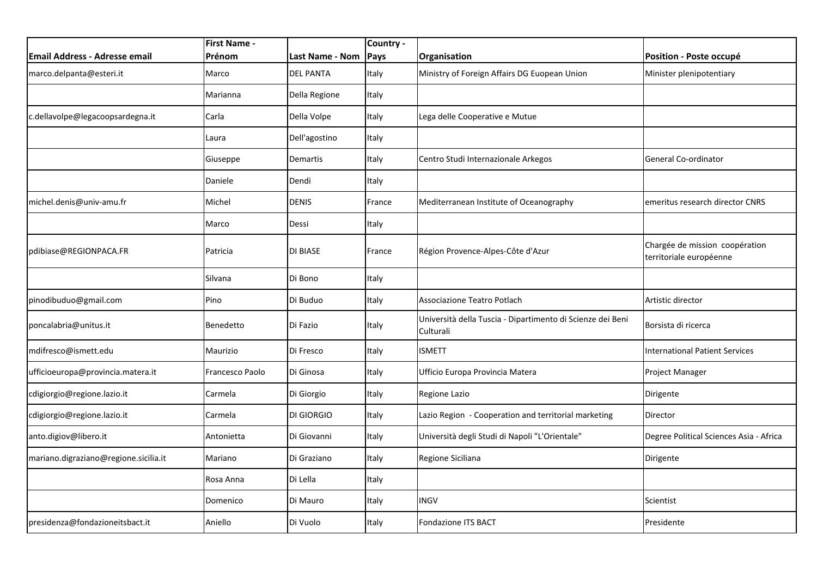|                                       | <b>First Name -</b> |                  | Country - |                                                                         |                                                           |
|---------------------------------------|---------------------|------------------|-----------|-------------------------------------------------------------------------|-----------------------------------------------------------|
| Email Address - Adresse email         | Prénom              | Last Name - Nom  | Pays      | Organisation                                                            | Position - Poste occupé                                   |
| marco.delpanta@esteri.it              | Marco               | <b>DEL PANTA</b> | Italy     | Ministry of Foreign Affairs DG Euopean Union                            | Minister plenipotentiary                                  |
|                                       | Marianna            | Della Regione    | Italy     |                                                                         |                                                           |
| c.dellavolpe@legacoopsardegna.it      | Carla               | Della Volpe      | Italy     | Lega delle Cooperative e Mutue                                          |                                                           |
|                                       | Laura               | Dell'agostino    | Italy     |                                                                         |                                                           |
|                                       | Giuseppe            | <b>Demartis</b>  | Italy     | Centro Studi Internazionale Arkegos                                     | General Co-ordinator                                      |
|                                       | Daniele             | Dendi            | Italy     |                                                                         |                                                           |
| michel.denis@univ-amu.fr              | Michel              | <b>DENIS</b>     | France    | Mediterranean Institute of Oceanography                                 | emeritus research director CNRS                           |
|                                       | Marco               | Dessi            | Italy     |                                                                         |                                                           |
| pdibiase@REGIONPACA.FR                | Patricia            | <b>DI BIASE</b>  | France    | Région Provence-Alpes-Côte d'Azur                                       | Chargée de mission coopération<br>territoriale européenne |
|                                       | Silvana             | Di Bono          | Italy     |                                                                         |                                                           |
| pinodibuduo@gmail.com                 | Pino                | Di Buduo         | Italy     | Associazione Teatro Potlach                                             | Artistic director                                         |
| poncalabria@unitus.it                 | Benedetto           | Di Fazio         | Italy     | Università della Tuscia - Dipartimento di Scienze dei Beni<br>Culturali | Borsista di ricerca                                       |
| mdifresco@ismett.edu                  | Maurizio            | Di Fresco        | Italy     | <b>ISMETT</b>                                                           | <b>International Patient Services</b>                     |
| ufficioeuropa@provincia.matera.it     | Francesco Paolo     | Di Ginosa        | Italy     | Ufficio Europa Provincia Matera                                         | Project Manager                                           |
| cdigiorgio@regione.lazio.it           | Carmela             | Di Giorgio       | Italy     | Regione Lazio                                                           | Dirigente                                                 |
| cdigiorgio@regione.lazio.it           | Carmela             | DI GIORGIO       | Italy     | Lazio Region - Cooperation and territorial marketing                    | Director                                                  |
| anto.digiov@libero.it                 | Antonietta          | Di Giovanni      | Italy     | Università degli Studi di Napoli "L'Orientale"                          | Degree Political Sciences Asia - Africa                   |
| mariano.digraziano@regione.sicilia.it | Mariano             | Di Graziano      | Italy     | Regione Siciliana                                                       | Dirigente                                                 |
|                                       | Rosa Anna           | Di Lella         | Italy     |                                                                         |                                                           |
|                                       | Domenico            | Di Mauro         | Italy     | <b>INGV</b>                                                             | Scientist                                                 |
| presidenza@fondazioneitsbact.it       | Aniello             | Di Vuolo         | Italy     | <b>Fondazione ITS BACT</b>                                              | Presidente                                                |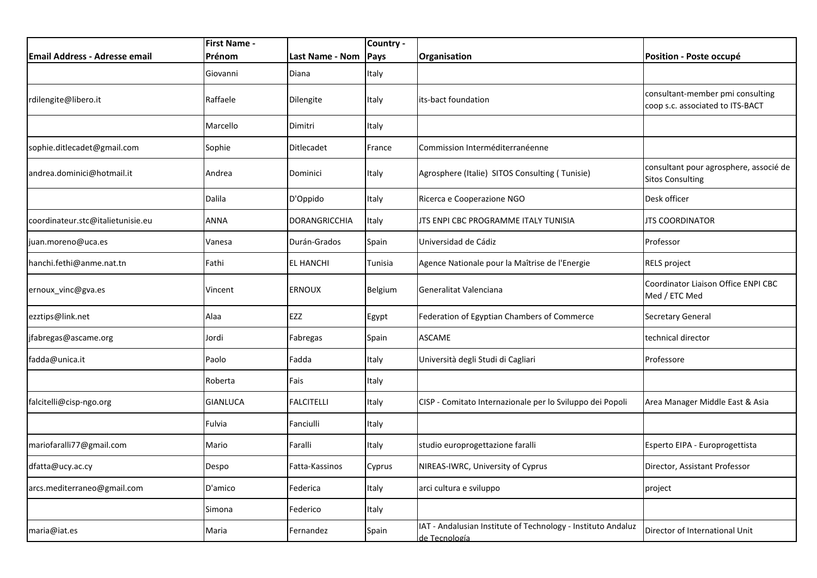|                                      | <b>First Name -</b> |                   | Country -      |                                                                               |                                                                      |
|--------------------------------------|---------------------|-------------------|----------------|-------------------------------------------------------------------------------|----------------------------------------------------------------------|
| <b>Email Address - Adresse email</b> | Prénom              | Last Name - Nom   | Pays           | Organisation                                                                  | Position - Poste occupé                                              |
|                                      | Giovanni            | Diana             | Italy          |                                                                               |                                                                      |
| rdilengite@libero.it                 | Raffaele            | Dilengite         | Italy          | its-bact foundation                                                           | consultant-member pmi consulting<br>coop s.c. associated to ITS-BACT |
|                                      | Marcello            | Dimitri           | Italy          |                                                                               |                                                                      |
| sophie.ditlecadet@gmail.com          | Sophie              | Ditlecadet        | France         | Commission Interméditerranéenne                                               |                                                                      |
| andrea.dominici@hotmail.it           | Andrea              | Dominici          | Italy          | Agrosphere (Italie) SITOS Consulting (Tunisie)                                | consultant pour agrosphere, associé de<br><b>Sitos Consulting</b>    |
|                                      | <b>Dalila</b>       | D'Oppido          | Italy          | Ricerca e Cooperazione NGO                                                    | Desk officer                                                         |
| coordinateur.stc@italietunisie.eu    | ANNA                | DORANGRICCHIA     | Italy          | JTS ENPI CBC PROGRAMME ITALY TUNISIA                                          | <b>JTS COORDINATOR</b>                                               |
| juan.moreno@uca.es                   | Vanesa              | Durán-Grados      | Spain          | Universidad de Cádiz                                                          | Professor                                                            |
| hanchi.fethi@anme.nat.tn             | Fathi               | <b>EL HANCHI</b>  | Tunisia        | Agence Nationale pour la Maîtrise de l'Energie                                | <b>RELS project</b>                                                  |
| ernoux vinc@gva.es                   | Vincent             | <b>ERNOUX</b>     | <b>Belgium</b> | Generalitat Valenciana                                                        | Coordinator Liaison Office ENPI CBC<br>Med / ETC Med                 |
| ezztips@link.net                     | Alaa                | EZZ               | Egypt          | Federation of Egyptian Chambers of Commerce                                   | <b>Secretary General</b>                                             |
| jfabregas@ascame.org                 | Jordi               | Fabregas          | Spain          | <b>ASCAME</b>                                                                 | technical director                                                   |
| fadda@unica.it                       | Paolo               | Fadda             | Italy          | Università degli Studi di Cagliari                                            | Professore                                                           |
|                                      | Roberta             | Fais              | Italy          |                                                                               |                                                                      |
| falcitelli@cisp-ngo.org              | <b>GIANLUCA</b>     | <b>FALCITELLI</b> | Italy          | CISP - Comitato Internazionale per lo Sviluppo dei Popoli                     | Area Manager Middle East & Asia                                      |
|                                      | Fulvia              | Fanciulli         | Italy          |                                                                               |                                                                      |
| mariofaralli77@gmail.com             | Mario               | Faralli           | Italy          | studio europrogettazione faralli                                              | Esperto EIPA - Europrogettista                                       |
| dfatta@ucy.ac.cy                     | Despo               | Fatta-Kassinos    | Cyprus         | NIREAS-IWRC, University of Cyprus                                             | Director, Assistant Professor                                        |
| arcs.mediterraneo@gmail.com          | D'amico             | Federica          | Italy          | arci cultura e sviluppo                                                       | project                                                              |
|                                      | Simona              | Federico          | Italy          |                                                                               |                                                                      |
| maria@iat.es                         | Maria               | Fernandez         | Spain          | IAT - Andalusian Institute of Technology - Instituto Andaluz<br>de Tecnología | Director of International Unit                                       |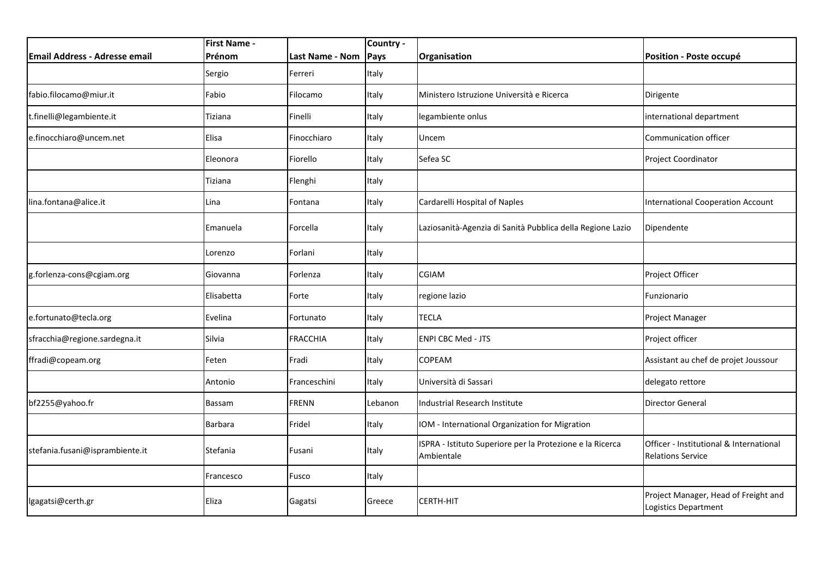|                                      | <b>First Name -</b> |                 | Country - |                                                                         |                                                                     |
|--------------------------------------|---------------------|-----------------|-----------|-------------------------------------------------------------------------|---------------------------------------------------------------------|
| <b>Email Address - Adresse email</b> | Prénom              | Last Name - Nom | Pays      | Organisation                                                            | Position - Poste occupé                                             |
|                                      | Sergio              | Ferreri         | Italy     |                                                                         |                                                                     |
| fabio.filocamo@miur.it               | Fabio               | Filocamo        | Italy     | Ministero Istruzione Università e Ricerca                               | Dirigente                                                           |
| t.finelli@legambiente.it             | Tiziana             | Finelli         | Italy     | legambiente onlus                                                       | international department                                            |
| e.finocchiaro@uncem.net              | Elisa               | Finocchiaro     | Italy     | Uncem                                                                   | Communication officer                                               |
|                                      | Eleonora            | Fiorello        | Italy     | Sefea SC                                                                | Project Coordinator                                                 |
|                                      | Tiziana             | Flenghi         | Italy     |                                                                         |                                                                     |
| lina.fontana@alice.it                | Lina                | Fontana         | Italy     | Cardarelli Hospital of Naples                                           | <b>International Cooperation Account</b>                            |
|                                      | Emanuela            | Forcella        | Italy     | Laziosanità-Agenzia di Sanità Pubblica della Regione Lazio              | Dipendente                                                          |
|                                      | Lorenzo             | Forlani         | Italy     |                                                                         |                                                                     |
| g.forlenza-cons@cgiam.org            | Giovanna            | Forlenza        | Italy     | CGIAM                                                                   | Project Officer                                                     |
|                                      | Elisabetta          | Forte           | Italy     | regione lazio                                                           | Funzionario                                                         |
| e.fortunato@tecla.org                | Evelina             | Fortunato       | Italy     | <b>TECLA</b>                                                            | Project Manager                                                     |
| sfracchia@regione.sardegna.it        | Silvia              | <b>FRACCHIA</b> | Italy     | <b>ENPI CBC Med - JTS</b>                                               | Project officer                                                     |
| ffradi@copeam.org                    | Feten               | Fradi           | Italy     | <b>COPEAM</b>                                                           | Assistant au chef de projet Joussour                                |
|                                      | Antonio             | Franceschini    | Italy     | Università di Sassari                                                   | delegato rettore                                                    |
| bf2255@yahoo.fr                      | Bassam              | <b>FRENN</b>    | Lebanon   | Industrial Research Institute                                           | <b>Director General</b>                                             |
|                                      | <b>Barbara</b>      | Fridel          | Italy     | IOM - International Organization for Migration                          |                                                                     |
| stefania.fusani@isprambiente.it      | Stefania            | Fusani          | Italy     | ISPRA - Istituto Superiore per la Protezione e la Ricerca<br>Ambientale | Officer - Institutional & International<br><b>Relations Service</b> |
|                                      | Francesco           | Fusco           | Italy     |                                                                         |                                                                     |
| lgagatsi@certh.gr                    | Eliza               | Gagatsi         | Greece    | CERTH-HIT                                                               | Project Manager, Head of Freight and<br>Logistics Department        |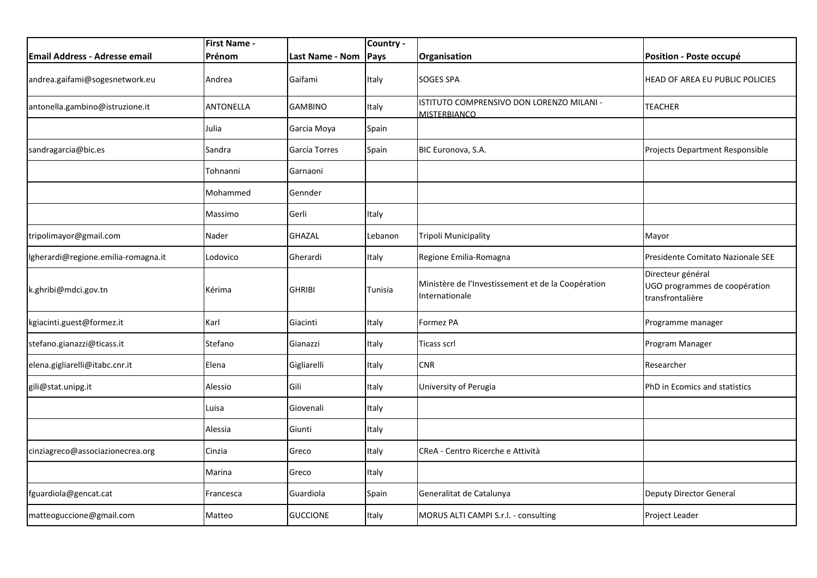|                                      | <b>First Name -</b> |                 | Country - |                                                                      |                                                                        |
|--------------------------------------|---------------------|-----------------|-----------|----------------------------------------------------------------------|------------------------------------------------------------------------|
| <b>Email Address - Adresse email</b> | Prénom              | Last Name - Nom | Pays      | Organisation                                                         | Position - Poste occupé                                                |
| andrea.gaifami@sogesnetwork.eu       | Andrea              | Gaifami         | Italy     | <b>SOGES SPA</b>                                                     | HEAD OF AREA EU PUBLIC POLICIES                                        |
| antonella.gambino@istruzione.it      | ANTONELLA           | <b>GAMBINO</b>  | Italy     | ISTITUTO COMPRENSIVO DON LORENZO MILANI -<br><b>MISTERBIANCO</b>     | <b>TEACHER</b>                                                         |
|                                      | Julia               | Garcia Moya     | Spain     |                                                                      |                                                                        |
| sandragarcia@bic.es                  | Sandra              | García Torres   | Spain     | BIC Euronova, S.A.                                                   | Projects Department Responsible                                        |
|                                      | Tohnanni            | Garnaoni        |           |                                                                      |                                                                        |
|                                      | Mohammed            | Gennder         |           |                                                                      |                                                                        |
|                                      | Massimo             | Gerli           | Italy     |                                                                      |                                                                        |
| tripolimayor@gmail.com               | Nader               | <b>GHAZAL</b>   | Lebanon   | Tripoli Municipality                                                 | Mayor                                                                  |
| lgherardi@regione.emilia-romagna.it  | Lodovico            | Gherardi        | Italy     | Regione Emilia-Romagna                                               | Presidente Comitato Nazionale SEE                                      |
| k.ghribi@mdci.gov.tn                 | Kérima              | <b>GHRIBI</b>   | Tunisia   | Ministère de l'Investissement et de la Coopération<br>Internationale | Directeur général<br>UGO programmes de coopération<br>transfrontalière |
| kgiacinti.guest@formez.it            | Karl                | Giacinti        | Italy     | Formez PA                                                            | Programme manager                                                      |
| stefano.gianazzi@ticass.it           | Stefano             | Gianazzi        | Italy     | Ticass scrl                                                          | Program Manager                                                        |
| elena.gigliarelli@itabc.cnr.it       | Elena               | Gigliarelli     | Italy     | <b>CNR</b>                                                           | Researcher                                                             |
| gili@stat.unipg.it                   | Alessio             | Gili            | Italy     | University of Perugia                                                | PhD in Ecomics and statistics                                          |
|                                      | Luisa               | Giovenali       | Italy     |                                                                      |                                                                        |
|                                      | Alessia             | Giunti          | Italy     |                                                                      |                                                                        |
| cinziagreco@associazionecrea.org     | Cinzia              | Greco           | Italy     | CReA - Centro Ricerche e Attività                                    |                                                                        |
|                                      | Marina              | Greco           | Italy     |                                                                      |                                                                        |
| fguardiola@gencat.cat                | Francesca           | Guardiola       | Spain     | Generalitat de Catalunya                                             | <b>Deputy Director General</b>                                         |
| matteoguccione@gmail.com             | Matteo              | <b>GUCCIONE</b> | Italy     | MORUS ALTI CAMPI S.r.l. - consulting                                 | Project Leader                                                         |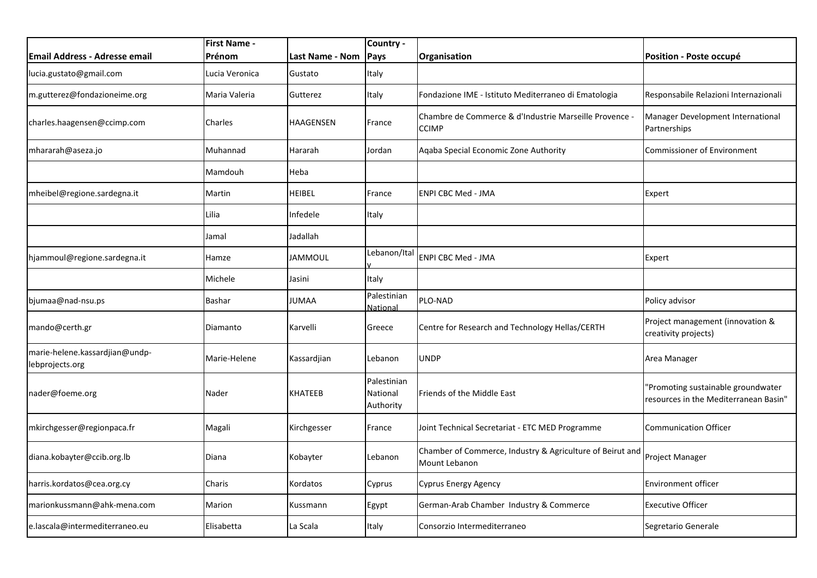|                                                   | <b>First Name -</b> |                        | Country -                            |                                                                            |                                                                             |
|---------------------------------------------------|---------------------|------------------------|--------------------------------------|----------------------------------------------------------------------------|-----------------------------------------------------------------------------|
| Email Address - Adresse email                     | Prénom              | <b>Last Name - Nom</b> | Pays                                 | Organisation                                                               | Position - Poste occupé                                                     |
| lucia.gustato@gmail.com                           | Lucia Veronica      | Gustato                | Italy                                |                                                                            |                                                                             |
| m.gutterez@fondazioneime.org                      | Maria Valeria       | Gutterez               | Italy                                | Fondazione IME - Istituto Mediterraneo di Ematologia                       | Responsabile Relazioni Internazionali                                       |
| charles.haagensen@ccimp.com                       | Charles             | HAAGENSEN              | France                               | Chambre de Commerce & d'Industrie Marseille Provence -<br><b>CCIMP</b>     | Manager Development International<br>Partnerships                           |
| mhararah@aseza.jo                                 | Muhannad            | Hararah                | Jordan                               | Aqaba Special Economic Zone Authority                                      | <b>Commissioner of Environment</b>                                          |
|                                                   | Mamdouh             | Heba                   |                                      |                                                                            |                                                                             |
| mheibel@regione.sardegna.it                       | Martin              | <b>HEIBEL</b>          | France                               | <b>ENPI CBC Med - JMA</b>                                                  | Expert                                                                      |
|                                                   | Lilia               | Infedele               | Italy                                |                                                                            |                                                                             |
|                                                   | Jamal               | Jadallah               |                                      |                                                                            |                                                                             |
| hjammoul@regione.sardegna.it                      | Hamze               | <b>JAMMOUL</b>         | Lebanon/Ital                         | <b>ENPI CBC Med - JMA</b>                                                  | Expert                                                                      |
|                                                   | Michele             | Jasini                 | Italy                                |                                                                            |                                                                             |
| bjumaa@nad-nsu.ps                                 | Bashar              | <b>JUMAA</b>           | Palestinian<br>National              | PLO-NAD                                                                    | Policy advisor                                                              |
| mando@certh.gr                                    | Diamanto            | Karvelli               | Greece                               | Centre for Research and Technology Hellas/CERTH                            | Project management (innovation &<br>creativity projects)                    |
| marie-helene.kassardjian@undp-<br>lebprojects.org | Marie-Helene        | Kassardjian            | Lebanon                              | <b>UNDP</b>                                                                | Area Manager                                                                |
| nader@foeme.org                                   | Nader               | KHATEEB                | Palestinian<br>National<br>Authority | Friends of the Middle East                                                 | "Promoting sustainable groundwater<br>resources in the Mediterranean Basin" |
| mkirchgesser@regionpaca.fr                        | Magali              | Kirchgesser            | France                               | Joint Technical Secretariat - ETC MED Programme                            | <b>Communication Officer</b>                                                |
| diana.kobayter@ccib.org.lb                        | Diana               | Kobayter               | Lebanon                              | Chamber of Commerce, Industry & Agriculture of Beirut and<br>Mount Lebanon | Project Manager                                                             |
| harris.kordatos@cea.org.cy                        | Charis              | Kordatos               | Cyprus                               | <b>Cyprus Energy Agency</b>                                                | Environment officer                                                         |
| marionkussmann@ahk-mena.com                       | Marion              | Kussmann               | Egypt                                | German-Arab Chamber Industry & Commerce                                    | <b>Executive Officer</b>                                                    |
| e.lascala@intermediterraneo.eu                    | Elisabetta          | La Scala               | Italy                                | Consorzio Intermediterraneo                                                | Segretario Generale                                                         |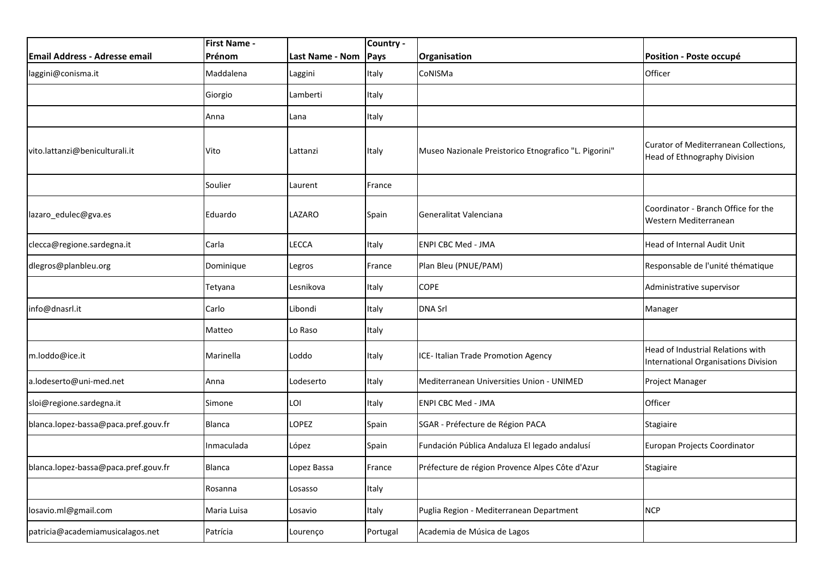|                                      | <b>First Name -</b> |                 | Country - |                                                       |                                                                           |
|--------------------------------------|---------------------|-----------------|-----------|-------------------------------------------------------|---------------------------------------------------------------------------|
| <b>Email Address - Adresse email</b> | Prénom              | Last Name - Nom | Pays      | Organisation                                          | Position - Poste occupé                                                   |
| laggini@conisma.it                   | Maddalena           | Laggini         | Italy     | CoNISMa                                               | Officer                                                                   |
|                                      | Giorgio             | Lamberti        | Italy     |                                                       |                                                                           |
|                                      | Anna                | Lana            | Italy     |                                                       |                                                                           |
| vito.lattanzi@beniculturali.it       | Vito                | Lattanzi        | Italy     | Museo Nazionale Preistorico Etnografico "L. Pigorini" | Curator of Mediterranean Collections,<br>Head of Ethnography Division     |
|                                      | Soulier             | Laurent         | France    |                                                       |                                                                           |
| lazaro_edulec@gva.es                 | Eduardo             | LAZARO          | Spain     | Generalitat Valenciana                                | Coordinator - Branch Office for the<br>Western Mediterranean              |
| clecca@regione.sardegna.it           | Carla               | LECCA           | Italy     | <b>ENPI CBC Med - JMA</b>                             | Head of Internal Audit Unit                                               |
| dlegros@planbleu.org                 | Dominique           | Legros          | France    | Plan Bleu (PNUE/PAM)                                  | Responsable de l'unité thématique                                         |
|                                      | Tetyana             | Lesnikova       | Italy     | <b>COPE</b>                                           | Administrative supervisor                                                 |
| info@dnasrl.it                       | Carlo               | Libondi         | Italy     | <b>DNA Srl</b>                                        | Manager                                                                   |
|                                      | Matteo              | Lo Raso         | Italy     |                                                       |                                                                           |
| m.loddo@ice.it                       | Marinella           | Loddo           | Italy     | ICE- Italian Trade Promotion Agency                   | Head of Industrial Relations with<br>International Organisations Division |
| a.lodeserto@uni-med.net              | Anna                | Lodeserto       | Italy     | Mediterranean Universities Union - UNIMED             | Project Manager                                                           |
| sloi@regione.sardegna.it             | Simone              | LOI             | Italy     | <b>ENPI CBC Med - JMA</b>                             | Officer                                                                   |
| blanca.lopez-bassa@paca.pref.gouv.fr | Blanca              | LOPEZ           | Spain     | SGAR - Préfecture de Région PACA                      | Stagiaire                                                                 |
|                                      | Inmaculada          | López           | Spain     | Fundación Pública Andaluza El legado andalusí         | Europan Projects Coordinator                                              |
| blanca.lopez-bassa@paca.pref.gouv.fr | Blanca              | Lopez Bassa     | France    | Préfecture de région Provence Alpes Côte d'Azur       | <b>Stagiaire</b>                                                          |
|                                      | Rosanna             | Losasso         | Italy     |                                                       |                                                                           |
| losavio.ml@gmail.com                 | Maria Luisa         | Losavio         | Italy     | Puglia Region - Mediterranean Department              | <b>NCP</b>                                                                |
| patricia@academiamusicalagos.net     | Patrícia            | Lourenço        | Portugal  | Academia de Música de Lagos                           |                                                                           |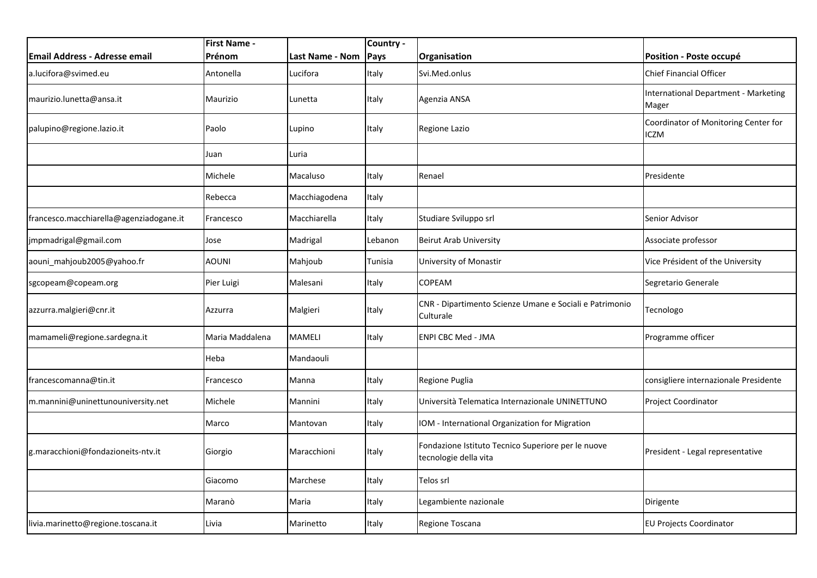|                                         | <b>First Name -</b> |                 | Country - |                                                                             |                                                      |
|-----------------------------------------|---------------------|-----------------|-----------|-----------------------------------------------------------------------------|------------------------------------------------------|
| Email Address - Adresse email           | Prénom              | Last Name - Nom | Pays      | Organisation                                                                | Position - Poste occupé                              |
| a.lucifora@svimed.eu                    | Antonella           | Lucifora        | Italy     | Svi.Med.onlus                                                               | Chief Financial Officer                              |
| maurizio.lunetta@ansa.it                | Maurizio            | Lunetta         | Italy     | Agenzia ANSA                                                                | <b>International Department - Marketing</b><br>Mager |
| palupino@regione.lazio.it               | Paolo               | Lupino          | Italy     | Regione Lazio                                                               | Coordinator of Monitoring Center for<br><b>ICZM</b>  |
|                                         | Juan                | Luria           |           |                                                                             |                                                      |
|                                         | Michele             | Macaluso        | Italy     | Renael                                                                      | Presidente                                           |
|                                         | Rebecca             | Macchiagodena   | Italy     |                                                                             |                                                      |
| francesco.macchiarella@agenziadogane.it | Francesco           | Macchiarella    | Italy     | Studiare Sviluppo srl                                                       | Senior Advisor                                       |
| jmpmadrigal@gmail.com                   | Jose                | Madrigal        | Lebanon   | <b>Beirut Arab University</b>                                               | Associate professor                                  |
| aouni_mahjoub2005@yahoo.fr              | AOUNI               | Mahjoub         | Tunisia   | University of Monastir                                                      | Vice Président of the University                     |
| sgcopeam@copeam.org                     | Pier Luigi          | Malesani        | Italy     | <b>COPEAM</b>                                                               | Segretario Generale                                  |
| azzurra.malgieri@cnr.it                 | Azzurra             | Malgieri        | Italy     | CNR - Dipartimento Scienze Umane e Sociali e Patrimonio<br>Culturale        | Tecnologo                                            |
| mamameli@regione.sardegna.it            | Maria Maddalena     | <b>MAMELI</b>   | Italy     | ENPI CBC Med - JMA                                                          | Programme officer                                    |
|                                         | Heba                | Mandaouli       |           |                                                                             |                                                      |
| francescomanna@tin.it                   | Francesco           | Manna           | Italy     | Regione Puglia                                                              | consigliere internazionale Presidente                |
| m.mannini@uninettunouniversity.net      | Michele             | Mannini         | Italy     | Università Telematica Internazionale UNINETTUNO                             | <b>Project Coordinator</b>                           |
|                                         | Marco               | Mantovan        | Italy     | IOM - International Organization for Migration                              |                                                      |
| g.maracchioni@fondazioneits-ntv.it      | Giorgio             | Maracchioni     | Italy     | Fondazione Istituto Tecnico Superiore per le nuove<br>tecnologie della vita | President - Legal representative                     |
|                                         | Giacomo             | Marchese        | Italy     | Telos srl                                                                   |                                                      |
|                                         | Maranò              | Maria           | Italy     | Legambiente nazionale                                                       | Dirigente                                            |
| livia.marinetto@regione.toscana.it      | Livia               | Marinetto       | Italy     | Regione Toscana                                                             | <b>EU Projects Coordinator</b>                       |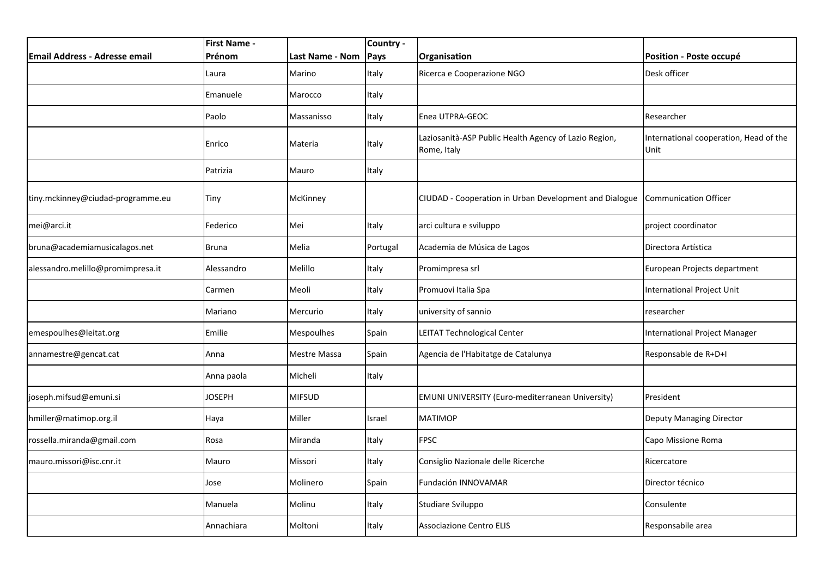|                                   | <b>First Name -</b> |                 | Country - |                                                                      |                                                |
|-----------------------------------|---------------------|-----------------|-----------|----------------------------------------------------------------------|------------------------------------------------|
| Email Address - Adresse email     | Prénom              | Last Name - Nom | Pays      | Organisation                                                         | Position - Poste occupé                        |
|                                   | Laura               | Marino          | Italy     | Ricerca e Cooperazione NGO                                           | Desk officer                                   |
|                                   | Emanuele            | Marocco         | Italy     |                                                                      |                                                |
|                                   | Paolo               | Massanisso      | Italy     | Enea UTPRA-GEOC                                                      | Researcher                                     |
|                                   | Enrico              | Materia         | Italy     | Laziosanità-ASP Public Health Agency of Lazio Region,<br>Rome, Italy | International cooperation, Head of the<br>Unit |
|                                   | Patrizia            | Mauro           | Italy     |                                                                      |                                                |
| tiny.mckinney@ciudad-programme.eu | Tiny                | McKinney        |           | CIUDAD - Cooperation in Urban Development and Dialogue               | <b>Communication Officer</b>                   |
| mei@arci.it                       | Federico            | Mei             | Italy     | arci cultura e sviluppo                                              | project coordinator                            |
| bruna@academiamusicalagos.net     | <b>Bruna</b>        | Melia           | Portugal  | Academia de Música de Lagos                                          | Directora Artística                            |
| alessandro.melillo@promimpresa.it | Alessandro          | Melillo         | Italy     | Promimpresa srl                                                      | European Projects department                   |
|                                   | Carmen              | Meoli           | Italy     | Promuovi Italia Spa                                                  | International Project Unit                     |
|                                   | Mariano             | Mercurio        | Italy     | university of sannio                                                 | researcher                                     |
| emespoulhes@leitat.org            | Emilie              | Mespoulhes      | Spain     | <b>LEITAT Technological Center</b>                                   | International Project Manager                  |
| annamestre@gencat.cat             | Anna                | Mestre Massa    | Spain     | Agencia de l'Habitatge de Catalunya                                  | Responsable de R+D+I                           |
|                                   | Anna paola          | Micheli         | Italy     |                                                                      |                                                |
| joseph.mifsud@emuni.si            | <b>JOSEPH</b>       | <b>MIFSUD</b>   |           | <b>EMUNI UNIVERSITY (Euro-mediterranean University)</b>              | President                                      |
| hmiller@matimop.org.il            | Haya                | Miller          | Israel    | <b>MATIMOP</b>                                                       | Deputy Managing Director                       |
| rossella.miranda@gmail.com        | Rosa                | Miranda         | Italy     | <b>FPSC</b>                                                          | Capo Missione Roma                             |
| mauro.missori@isc.cnr.it          | Mauro               | Missori         | Italy     | Consiglio Nazionale delle Ricerche                                   | Ricercatore                                    |
|                                   | Jose                | Molinero        | Spain     | Fundación INNOVAMAR                                                  | Director técnico                               |
|                                   | Manuela             | Molinu          | Italy     | Studiare Sviluppo                                                    | Consulente                                     |
|                                   | Annachiara          | Moltoni         | Italy     | <b>Associazione Centro ELIS</b>                                      | Responsabile area                              |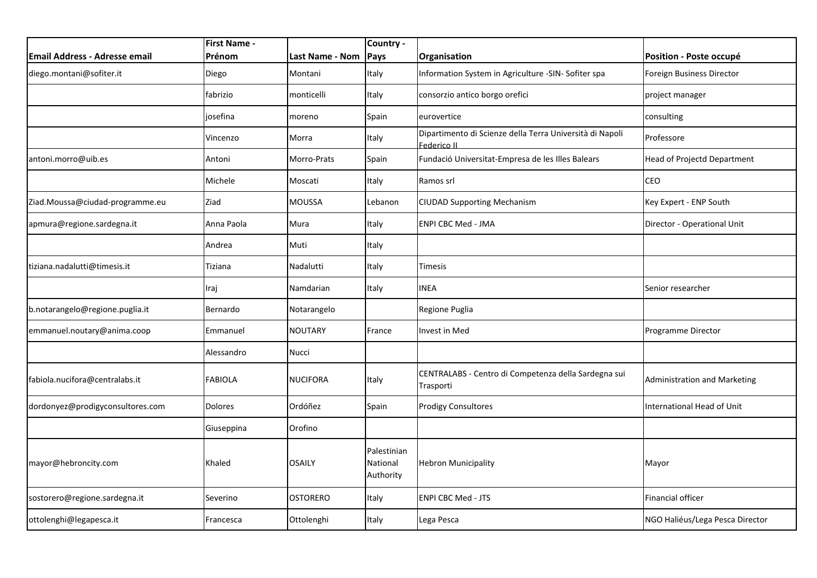|                                      | <b>First Name -</b> |                 | Country -                            |                                                                         |                                     |
|--------------------------------------|---------------------|-----------------|--------------------------------------|-------------------------------------------------------------------------|-------------------------------------|
| <b>Email Address - Adresse email</b> | Prénom              | Last Name - Nom | Pays                                 | Organisation                                                            | Position - Poste occupé             |
| diego.montani@sofiter.it             | Diego               | Montani         | Italy                                | Information System in Agriculture -SIN- Sofiter spa                     | Foreign Business Director           |
|                                      | fabrizio            | monticelli      | Italy                                | consorzio antico borgo orefici                                          | project manager                     |
|                                      | josefina            | moreno          | Spain                                | eurovertice                                                             | consulting                          |
|                                      | Vincenzo            | Morra           | Italy                                | Dipartimento di Scienze della Terra Università di Napoli<br>Federico II | Professore                          |
| antoni.morro@uib.es                  | Antoni              | Morro-Prats     | Spain                                | Fundació Universitat-Empresa de les Illes Balears                       | Head of Projectd Department         |
|                                      | Michele             | Moscati         | Italy                                | Ramos srl                                                               | CEO                                 |
| Ziad.Moussa@ciudad-programme.eu      | Ziad                | <b>MOUSSA</b>   | Lebanon                              | <b>CIUDAD Supporting Mechanism</b>                                      | Key Expert - ENP South              |
| apmura@regione.sardegna.it           | Anna Paola          | Mura            | Italy                                | <b>ENPI CBC Med - JMA</b>                                               | Director - Operational Unit         |
|                                      | Andrea              | Muti            | Italy                                |                                                                         |                                     |
| tiziana.nadalutti@timesis.it         | Tiziana             | Nadalutti       | Italy                                | Timesis                                                                 |                                     |
|                                      | Iraj                | Namdarian       | Italy                                | <b>INEA</b>                                                             | Senior researcher                   |
| b.notarangelo@regione.puglia.it      | Bernardo            | Notarangelo     |                                      | Regione Puglia                                                          |                                     |
| emmanuel.noutary@anima.coop          | Emmanuel            | <b>NOUTARY</b>  | France                               | Invest in Med                                                           | Programme Director                  |
|                                      | Alessandro          | Nucci           |                                      |                                                                         |                                     |
| fabiola.nucifora@centralabs.it       | <b>FABIOLA</b>      | <b>NUCIFORA</b> | Italy                                | CENTRALABS - Centro di Competenza della Sardegna sui<br>Trasporti       | <b>Administration and Marketing</b> |
| dordonyez@prodigyconsultores.com     | <b>Dolores</b>      | Ordóñez         | Spain                                | <b>Prodigy Consultores</b>                                              | International Head of Unit          |
|                                      | Giuseppina          | Orofino         |                                      |                                                                         |                                     |
| mayor@hebroncity.com                 | Khaled              | <b>OSAILY</b>   | Palestinian<br>National<br>Authority | <b>Hebron Municipality</b>                                              | Mayor                               |
| sostorero@regione.sardegna.it        | Severino            | <b>OSTORERO</b> | Italy                                | <b>ENPI CBC Med - JTS</b>                                               | Financial officer                   |
| ottolenghi@legapesca.it              | Francesca           | Ottolenghi      | Italy                                | Lega Pesca                                                              | NGO Haliéus/Lega Pesca Director     |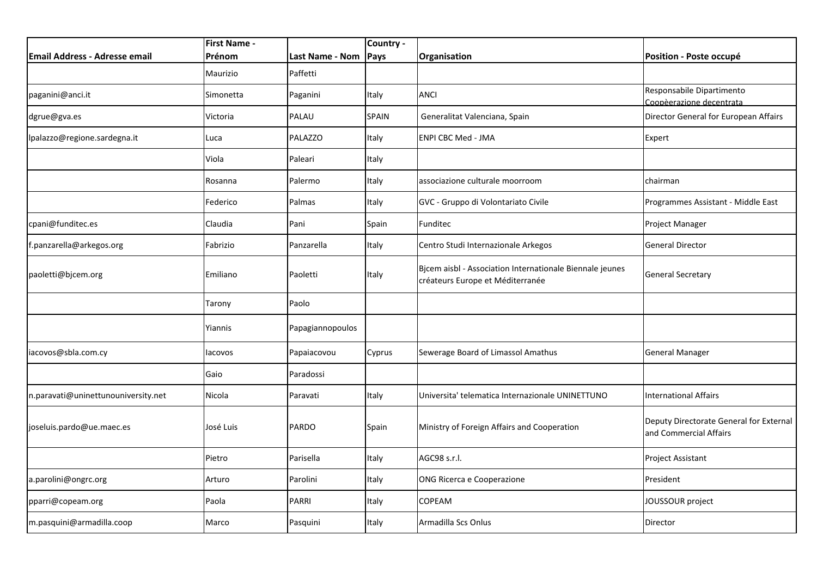|                                      | <b>First Name -</b> |                  | Country -    |                                                                                              |                                                                   |
|--------------------------------------|---------------------|------------------|--------------|----------------------------------------------------------------------------------------------|-------------------------------------------------------------------|
| <b>Email Address - Adresse email</b> | Prénom              | Last Name - Nom  | Pays         | Organisation                                                                                 | Position - Poste occupé                                           |
|                                      | Maurizio            | Paffetti         |              |                                                                                              |                                                                   |
| paganini@anci.it                     | Simonetta           | Paganini         | Italy        | <b>ANCI</b>                                                                                  | Responsabile Dipartimento<br>Coopèerazione decentrata             |
| dgrue@gva.es                         | Victoria            | PALAU            | <b>SPAIN</b> | Generalitat Valenciana, Spain                                                                | Director General for European Affairs                             |
| lpalazzo@regione.sardegna.it         | Luca                | PALAZZO          | Italy        | <b>ENPI CBC Med - JMA</b>                                                                    | Expert                                                            |
|                                      | Viola               | Paleari          | Italy        |                                                                                              |                                                                   |
|                                      | Rosanna             | Palermo          | Italy        | associazione culturale moorroom                                                              | chairman                                                          |
|                                      | Federico            | Palmas           | Italy        | GVC - Gruppo di Volontariato Civile                                                          | Programmes Assistant - Middle East                                |
| cpani@funditec.es                    | Claudia             | Pani             | Spain        | Funditec                                                                                     | Project Manager                                                   |
| f.panzarella@arkegos.org             | Fabrizio            | Panzarella       | Italy        | Centro Studi Internazionale Arkegos                                                          | <b>General Director</b>                                           |
| paoletti@bjcem.org                   | Emiliano            | Paoletti         | Italy        | Bjcem aisbl - Association Internationale Biennale jeunes<br>créateurs Europe et Méditerranée | <b>General Secretary</b>                                          |
|                                      | Tarony              | Paolo            |              |                                                                                              |                                                                   |
|                                      | Yiannis             | Papagiannopoulos |              |                                                                                              |                                                                   |
| iacovos@sbla.com.cy                  | lacovos             | Papaiacovou      | Cyprus       | Sewerage Board of Limassol Amathus                                                           | <b>General Manager</b>                                            |
|                                      | Gaio                | Paradossi        |              |                                                                                              |                                                                   |
| n.paravati@uninettunouniversity.net  | Nicola              | Paravati         | Italy        | Universita' telematica Internazionale UNINETTUNO                                             | <b>International Affairs</b>                                      |
| joseluis.pardo@ue.maec.es            | José Luis           | <b>PARDO</b>     | Spain        | Ministry of Foreign Affairs and Cooperation                                                  | Deputy Directorate General for External<br>and Commercial Affairs |
|                                      | Pietro              | Parisella        | Italy        | AGC98 s.r.l.                                                                                 | Project Assistant                                                 |
| a.parolini@ongrc.org                 | Arturo              | Parolini         | Italy        | ONG Ricerca e Cooperazione                                                                   | President                                                         |
| pparri@copeam.org                    | Paola               | <b>PARRI</b>     | Italy        | <b>COPEAM</b>                                                                                | JOUSSOUR project                                                  |
| m.pasquini@armadilla.coop            | Marco               | Pasquini         | Italy        | Armadilla Scs Onlus                                                                          | Director                                                          |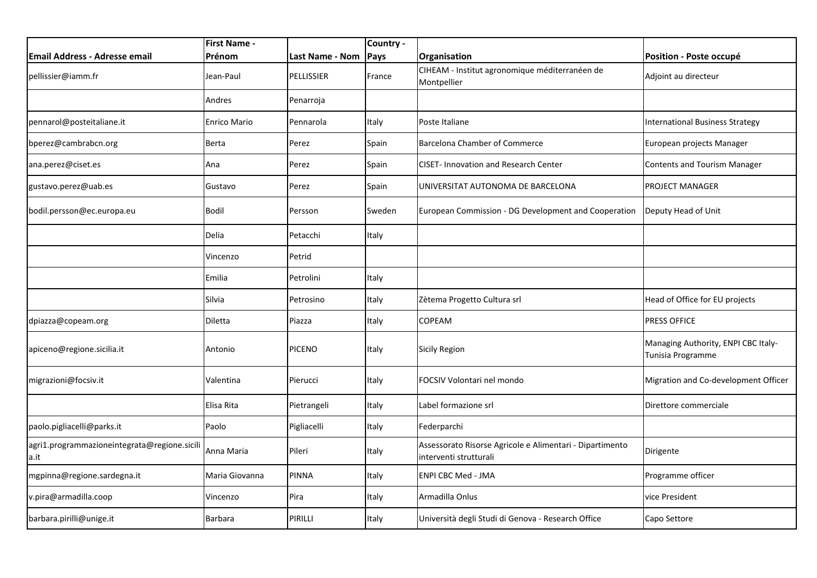|                                                      | <b>First Name -</b> |                        | Country -   |                                                                                    |                                                          |
|------------------------------------------------------|---------------------|------------------------|-------------|------------------------------------------------------------------------------------|----------------------------------------------------------|
| <b>Email Address - Adresse email</b>                 | Prénom              | <b>Last Name - Nom</b> | <b>Pays</b> | Organisation                                                                       | Position - Poste occupé                                  |
| pellissier@iamm.fr                                   | Jean-Paul           | <b>PELLISSIER</b>      | France      | CIHEAM - Institut agronomique méditerranéen de<br>Montpellier                      | Adjoint au directeur                                     |
|                                                      | Andres              | Penarroja              |             |                                                                                    |                                                          |
| pennarol@posteitaliane.it                            | Enrico Mario        | Pennarola              | Italy       | Poste Italiane                                                                     | <b>International Business Strategy</b>                   |
| bperez@cambrabcn.org                                 | Berta               | Perez                  | Spain       | <b>Barcelona Chamber of Commerce</b>                                               | European projects Manager                                |
| ana.perez@ciset.es                                   | Ana                 | Perez                  | Spain       | <b>CISET-Innovation and Research Center</b>                                        | Contents and Tourism Manager                             |
| gustavo.perez@uab.es                                 | Gustavo             | Perez                  | Spain       | UNIVERSITAT AUTONOMA DE BARCELONA                                                  | <b>PROJECT MANAGER</b>                                   |
| bodil.persson@ec.europa.eu                           | <b>Bodil</b>        | Persson                | Sweden      | European Commission - DG Development and Cooperation                               | Deputy Head of Unit                                      |
|                                                      | Delia               | Petacchi               | Italy       |                                                                                    |                                                          |
|                                                      | Vincenzo            | Petrid                 |             |                                                                                    |                                                          |
|                                                      | Emilia              | Petrolini              | Italy       |                                                                                    |                                                          |
|                                                      | Silvia              | Petrosino              | Italy       | Zètema Progetto Cultura srl                                                        | Head of Office for EU projects                           |
| dpiazza@copeam.org                                   | Diletta             | Piazza                 | Italy       | <b>COPEAM</b>                                                                      | <b>PRESS OFFICE</b>                                      |
| apiceno@regione.sicilia.it                           | Antonio             | <b>PICENO</b>          | Italy       | Sicily Region                                                                      | Managing Authority, ENPI CBC Italy-<br>Tunisia Programme |
| migrazioni@focsiv.it                                 | Valentina           | Pierucci               | Italy       | FOCSIV Volontari nel mondo                                                         | Migration and Co-development Officer                     |
|                                                      | Elisa Rita          | Pietrangeli            | Italy       | Label formazione srl                                                               | Direttore commerciale                                    |
| paolo.pigliacelli@parks.it                           | Paolo               | Pigliacelli            | Italy       | Federparchi                                                                        |                                                          |
| agri1.programmazioneintegrata@regione.sicili<br>a.it | Anna Maria          | Pileri                 | Italy       | Assessorato Risorse Agricole e Alimentari - Dipartimento<br>interventi strutturali | Dirigente                                                |
| mgpinna@regione.sardegna.it                          | Maria Giovanna      | <b>PINNA</b>           | Italy       | <b>ENPI CBC Med - JMA</b>                                                          | Programme officer                                        |
| v.pira@armadilla.coop                                | Vincenzo            | Pira                   | Italy       | Armadilla Onlus                                                                    | vice President                                           |
| barbara.pirilli@unige.it                             | Barbara             | PIRILLI                | Italy       | Università degli Studi di Genova - Research Office                                 | Capo Settore                                             |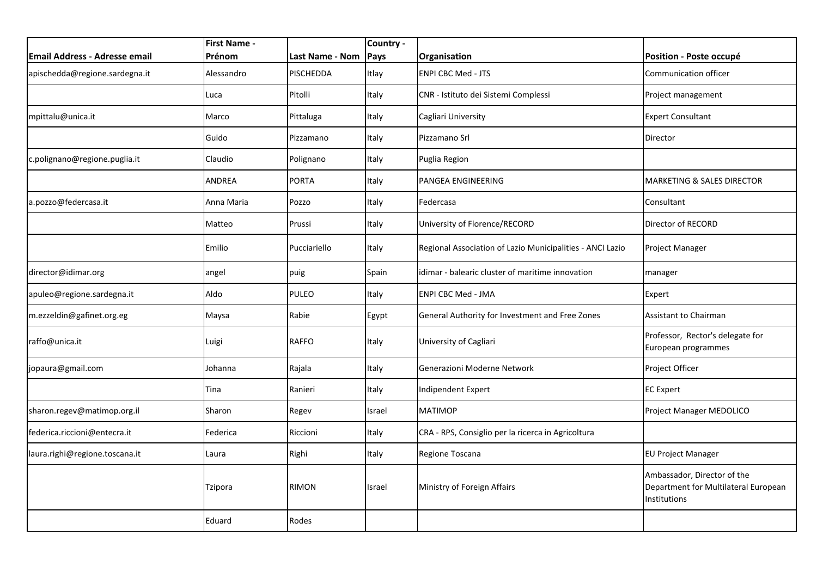|                                      | <b>First Name -</b> |                  | Country - |                                                           |                                                                                            |
|--------------------------------------|---------------------|------------------|-----------|-----------------------------------------------------------|--------------------------------------------------------------------------------------------|
| <b>Email Address - Adresse email</b> | Prénom              | Last Name - Nom  | Pays      | Organisation                                              | Position - Poste occupé                                                                    |
| apischedda@regione.sardegna.it       | Alessandro          | <b>PISCHEDDA</b> | Itlay     | <b>ENPI CBC Med - JTS</b>                                 | <b>Communication officer</b>                                                               |
|                                      | Luca                | Pitolli          | Italy     | CNR - Istituto dei Sistemi Complessi                      | Project management                                                                         |
| mpittalu@unica.it                    | Marco               | Pittaluga        | Italy     | Cagliari University                                       | <b>Expert Consultant</b>                                                                   |
|                                      | Guido               | Pizzamano        | Italy     | Pizzamano Srl                                             | Director                                                                                   |
| :.polignano@regione.puglia.it        | Claudio             | Polignano        | Italy     | Puglia Region                                             |                                                                                            |
|                                      | ANDREA              | <b>PORTA</b>     | Italy     | PANGEA ENGINEERING                                        | <b>MARKETING &amp; SALES DIRECTOR</b>                                                      |
| a.pozzo@federcasa.it                 | Anna Maria          | Pozzo            | Italy     | Federcasa                                                 | Consultant                                                                                 |
|                                      | Matteo              | Prussi           | Italy     | University of Florence/RECORD                             | Director of RECORD                                                                         |
|                                      | Emilio              | Pucciariello     | Italy     | Regional Association of Lazio Municipalities - ANCI Lazio | Project Manager                                                                            |
| director@idimar.org                  | angel               | puig             | Spain     | idimar - balearic cluster of maritime innovation          | manager                                                                                    |
| apuleo@regione.sardegna.it           | Aldo                | PULEO            | Italy     | <b>ENPI CBC Med - JMA</b>                                 | Expert                                                                                     |
| m.ezzeldin@gafinet.org.eg            | Maysa               | Rabie            | Egypt     | General Authority for Investment and Free Zones           | Assistant to Chairman                                                                      |
| raffo@unica.it                       | Luigi               | <b>RAFFO</b>     | Italy     | University of Cagliari                                    | Professor, Rector's delegate for<br>European programmes                                    |
| jopaura@gmail.com                    | Johanna             | Rajala           | Italy     | Generazioni Moderne Network                               | Project Officer                                                                            |
|                                      | Tina                | Ranieri          | Italy     | Indipendent Expert                                        | <b>EC Expert</b>                                                                           |
| sharon.regev@matimop.org.il          | Sharon              | Regev            | Israel    | <b>MATIMOP</b>                                            | Project Manager MEDOLICO                                                                   |
| federica.riccioni@entecra.it         | Federica            | Riccioni         | Italy     | CRA - RPS, Consiglio per la ricerca in Agricoltura        |                                                                                            |
| laura.righi@regione.toscana.it       | Laura               | Righi            | Italy     | Regione Toscana                                           | <b>EU Project Manager</b>                                                                  |
|                                      | Tzipora             | <b>RIMON</b>     | Israel    | Ministry of Foreign Affairs                               | Ambassador, Director of the<br>Department for Multilateral European<br><b>Institutions</b> |
|                                      | Eduard              | Rodes            |           |                                                           |                                                                                            |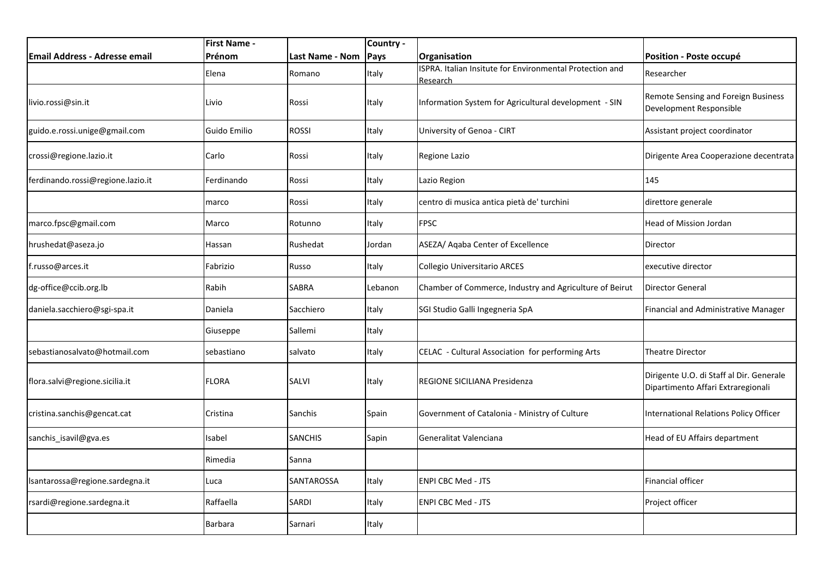|                                   | <b>First Name -</b> |                        | Country - |                                                                      |                                                                                |
|-----------------------------------|---------------------|------------------------|-----------|----------------------------------------------------------------------|--------------------------------------------------------------------------------|
| Email Address - Adresse email     | Prénom              | <b>Last Name - Nom</b> | Pays      | Organisation                                                         | Position - Poste occupé                                                        |
|                                   | Elena               | Romano                 | Italy     | ISPRA. Italian Insitute for Environmental Protection and<br>Research | Researcher                                                                     |
| livio.rossi@sin.it                | Livio               | Rossi                  | Italy     | Information System for Agricultural development - SIN                | Remote Sensing and Foreign Business<br>Development Responsible                 |
| guido.e.rossi.unige@gmail.com     | Guido Emilio        | <b>ROSSI</b>           | Italy     | University of Genoa - CIRT                                           | Assistant project coordinator                                                  |
| crossi@regione.lazio.it           | Carlo               | Rossi                  | Italy     | Regione Lazio                                                        | Dirigente Area Cooperazione decentrata                                         |
| ferdinando.rossi@regione.lazio.it | Ferdinando          | Rossi                  | Italy     | Lazio Region                                                         | 145                                                                            |
|                                   | marco               | Rossi                  | Italy     | centro di musica antica pietà de' turchini                           | direttore generale                                                             |
| marco.fpsc@gmail.com              | Marco               | Rotunno                | Italy     | <b>FPSC</b>                                                          | <b>Head of Mission Jordan</b>                                                  |
| hrushedat@aseza.jo                | Hassan              | Rushedat               | Jordan    | ASEZA/ Aqaba Center of Excellence                                    | Director                                                                       |
| f.russo@arces.it                  | Fabrizio            | Russo                  | Italy     | Collegio Universitario ARCES                                         | executive director                                                             |
| dg-office@ccib.org.lb             | Rabih               | SABRA                  | Lebanon   | Chamber of Commerce, Industry and Agriculture of Beirut              | Director General                                                               |
| daniela.sacchiero@sgi-spa.it      | Daniela             | Sacchiero              | Italy     | SGI Studio Galli Ingegneria SpA                                      | Financial and Administrative Manager                                           |
|                                   | Giuseppe            | Sallemi                | Italy     |                                                                      |                                                                                |
| sebastianosalvato@hotmail.com     | sebastiano          | salvato                | Italy     | CELAC - Cultural Association for performing Arts                     | <b>Theatre Director</b>                                                        |
| flora.salvi@regione.sicilia.it    | <b>FLORA</b>        | <b>SALVI</b>           | Italy     | REGIONE SICILIANA Presidenza                                         | Dirigente U.O. di Staff al Dir. Generale<br>Dipartimento Affari Extraregionali |
| cristina.sanchis@gencat.cat       | Cristina            | Sanchis                | Spain     | Government of Catalonia - Ministry of Culture                        | <b>International Relations Policy Officer</b>                                  |
| sanchis_isavil@gva.es             | Isabel              | <b>SANCHIS</b>         | Sapin     | Generalitat Valenciana                                               | Head of EU Affairs department                                                  |
|                                   | Rimedia             | Sanna                  |           |                                                                      |                                                                                |
| lsantarossa@regione.sardegna.it   | Luca                | SANTAROSSA             | Italy     | <b>ENPI CBC Med - JTS</b>                                            | <b>Financial officer</b>                                                       |
| rsardi@regione.sardegna.it        | Raffaella           | SARDI                  | Italy     | <b>ENPI CBC Med - JTS</b>                                            | Project officer                                                                |
|                                   | Barbara             | Sarnari                | Italy     |                                                                      |                                                                                |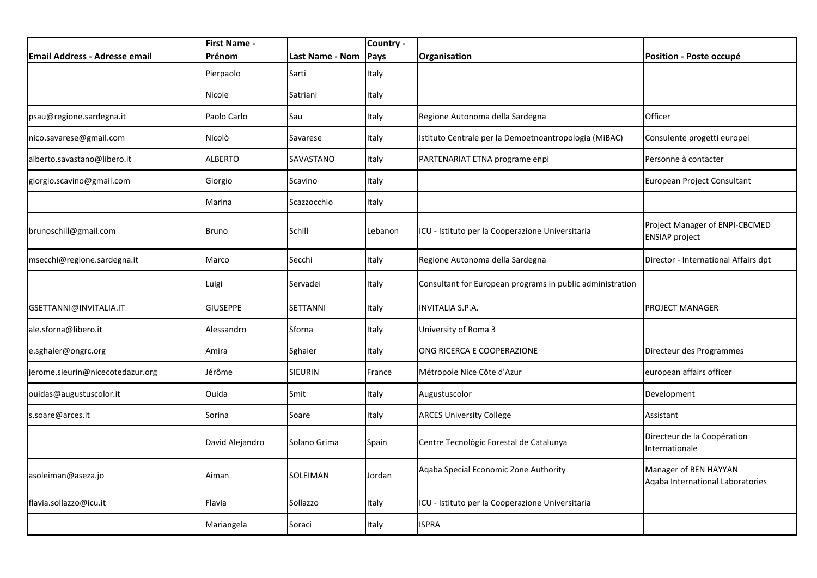|                                  | <b>First Name -</b><br>Prénom |                          | Country -     |                                                           |                                                           |
|----------------------------------|-------------------------------|--------------------------|---------------|-----------------------------------------------------------|-----------------------------------------------------------|
| Email Address - Adresse email    | Pierpaolo                     | Last Name - Nom<br>Sarti | Pays<br>Italy | Organisation                                              | Position - Poste occupé                                   |
|                                  |                               |                          |               |                                                           |                                                           |
|                                  | Nicole                        | Satriani                 | Italy         |                                                           |                                                           |
| psau@regione.sardegna.it         | Paolo Carlo                   | Sau                      | Italy         | Regione Autonoma della Sardegna                           | Officer                                                   |
| nico.savarese@gmail.com          | Nicolò                        | Savarese                 | Italy         | Istituto Centrale per la Demoetnoantropologia (MiBAC)     | Consulente progetti europei                               |
| alberto.savastano@libero.it      | <b>ALBERTO</b>                | SAVASTANO                | Italy         | PARTENARIAT ETNA programe enpi                            | Personne à contacter                                      |
| giorgio.scavino@gmail.com        | Giorgio                       | Scavino                  | Italy         |                                                           | European Project Consultant                               |
|                                  | Marina                        | Scazzocchio              | Italy         |                                                           |                                                           |
| brunoschill@gmail.com            | Bruno                         | Schill                   | Lebanon       | ICU - Istituto per la Cooperazione Universitaria          | Project Manager of ENPI-CBCMED<br><b>ENSIAP project</b>   |
| msecchi@regione.sardegna.it      | Marco                         | Secchi                   | Italy         | Regione Autonoma della Sardegna                           | Director - International Affairs dpt                      |
|                                  | Luigi                         | Servadei                 | Italy         | Consultant for European programs in public administration |                                                           |
| GSETTANNI@INVITALIA.IT           | <b>GIUSEPPE</b>               | SETTANNI                 | Italy         | <b>INVITALIA S.P.A.</b>                                   | PROJECT MANAGER                                           |
| ale.sforna@libero.it             | Alessandro                    | Sforna                   | Italy         | University of Roma 3                                      |                                                           |
| e.sghaier@ongrc.org              | Amira                         | Sghaier                  | Italy         | ONG RICERCA E COOPERAZIONE                                | Directeur des Programmes                                  |
| jerome.sieurin@nicecotedazur.org | Jérôme                        | <b>SIEURIN</b>           | France        | Métropole Nice Côte d'Azur                                | european affairs officer                                  |
| ouidas@augustuscolor.it          | Ouida                         | Smit                     | Italy         | Augustuscolor                                             | Development                                               |
| s.soare@arces.it                 | Sorina                        | Soare                    | Italy         | <b>ARCES University College</b>                           | Assistant                                                 |
|                                  | David Alejandro               | Solano Grima             | Spain         | Centre Tecnològic Forestal de Catalunya                   | Directeur de la Coopération<br>Internationale             |
| asoleiman@aseza.jo               | Aiman                         | SOLEIMAN                 | Jordan        | Aqaba Special Economic Zone Authority                     | Manager of BEN HAYYAN<br>Agaba International Laboratories |
| flavia.sollazzo@icu.it           | Flavia                        | Sollazzo                 | Italy         | ICU - Istituto per la Cooperazione Universitaria          |                                                           |
|                                  | Mariangela                    | Soraci                   | Italy         | <b>ISPRA</b>                                              |                                                           |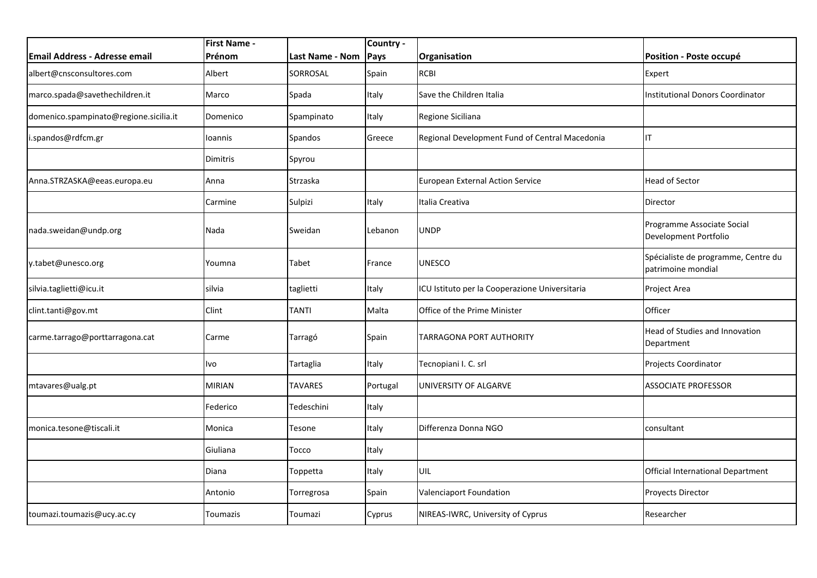| <b>Email Address - Adresse email</b>   | <b>First Name -</b><br>Prénom | Last Name - Nom | Country -<br>Pays | Organisation                                   | Position - Poste occupé                                   |
|----------------------------------------|-------------------------------|-----------------|-------------------|------------------------------------------------|-----------------------------------------------------------|
| albert@cnsconsultores.com              | Albert                        | SORROSAL        | Spain             | <b>RCBI</b>                                    | Expert                                                    |
| marco.spada@savethechildren.it         | Marco                         | Spada           | Italy             | Save the Children Italia                       | <b>Institutional Donors Coordinator</b>                   |
| domenico.spampinato@regione.sicilia.it | Domenico                      | Spampinato      | Italy             | Regione Siciliana                              |                                                           |
| i.spandos@rdfcm.gr                     | Ioannis                       | Spandos         | Greece            | Regional Development Fund of Central Macedonia | IT                                                        |
|                                        | Dimitris                      | Spyrou          |                   |                                                |                                                           |
| Anna.STRZASKA@eeas.europa.eu           | Anna                          | Strzaska        |                   | <b>European External Action Service</b>        | <b>Head of Sector</b>                                     |
|                                        | Carmine                       | Sulpizi         | Italy             | Italia Creativa                                | Director                                                  |
| nada.sweidan@undp.org                  | Nada                          | Sweidan         | Lebanon           | <b>UNDP</b>                                    | Programme Associate Social<br>Development Portfolio       |
| y.tabet@unesco.org                     | Youmna                        | Tabet           | France            | <b>UNESCO</b>                                  | Spécialiste de programme, Centre du<br>patrimoine mondial |
| silvia.taglietti@icu.it                | silvia                        | taglietti       | Italy             | ICU Istituto per la Cooperazione Universitaria | Project Area                                              |
| clint.tanti@gov.mt                     | Clint                         | <b>TANTI</b>    | Malta             | Office of the Prime Minister                   | Officer                                                   |
| carme.tarrago@porttarragona.cat        | Carme                         | Tarragó         | Spain             | TARRAGONA PORT AUTHORITY                       | Head of Studies and Innovation<br>Department              |
|                                        | Ivo                           | Tartaglia       | Italy             | Tecnopiani I. C. srl                           | Projects Coordinator                                      |
| mtavares@ualg.pt                       | <b>MIRIAN</b>                 | <b>TAVARES</b>  | Portugal          | UNIVERSITY OF ALGARVE                          | <b>ASSOCIATE PROFESSOR</b>                                |
|                                        | Federico                      | Tedeschini      | Italy             |                                                |                                                           |
| monica.tesone@tiscali.it               | Monica                        | Tesone          | Italy             | Differenza Donna NGO                           | consultant                                                |
|                                        | Giuliana                      | Tocco           | Italy             |                                                |                                                           |
|                                        | Diana                         | Toppetta        | Italy             | UIL                                            | Official International Department                         |
|                                        | Antonio                       | Torregrosa      | Spain             | Valenciaport Foundation                        | <b>Proyects Director</b>                                  |
| toumazi.toumazis@ucy.ac.cy             | Toumazis                      | Toumazi         | Cyprus            | NIREAS-IWRC, University of Cyprus              | Researcher                                                |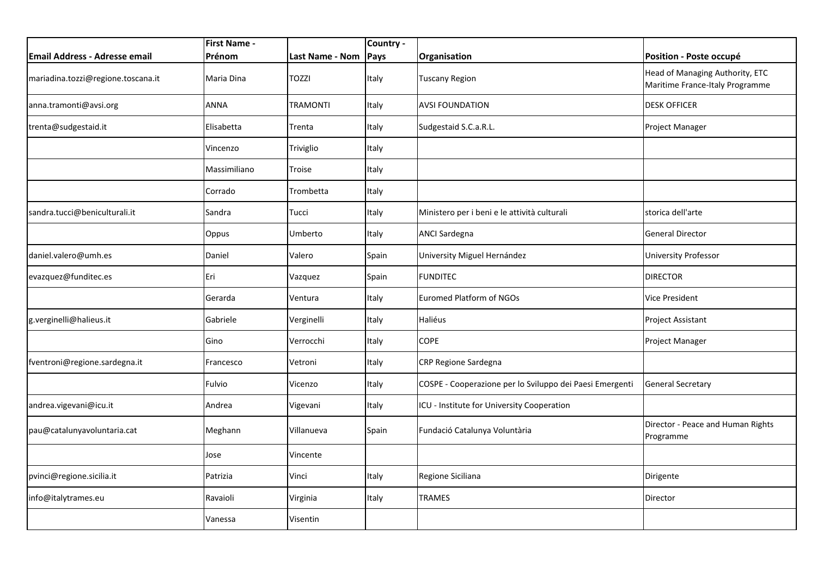|                                      | First Name - |                 | Country - |                                                          |                                                                    |
|--------------------------------------|--------------|-----------------|-----------|----------------------------------------------------------|--------------------------------------------------------------------|
| <b>Email Address - Adresse email</b> | Prénom       | Last Name - Nom | Pays      | Organisation                                             | Position - Poste occupé                                            |
| mariadina.tozzi@regione.toscana.it   | Maria Dina   | <b>TOZZI</b>    | Italy     | <b>Tuscany Region</b>                                    | Head of Managing Authority, ETC<br>Maritime France-Italy Programme |
| anna.tramonti@avsi.org               | ANNA         | TRAMONTI        | Italy     | <b>AVSI FOUNDATION</b>                                   | <b>DESK OFFICER</b>                                                |
| trenta@sudgestaid.it                 | Elisabetta   | Trenta          | Italy     | Sudgestaid S.C.a.R.L.                                    | Project Manager                                                    |
|                                      | Vincenzo     | Triviglio       | Italy     |                                                          |                                                                    |
|                                      | Massimiliano | Troise          | Italy     |                                                          |                                                                    |
|                                      | Corrado      | Trombetta       | Italy     |                                                          |                                                                    |
| sandra.tucci@beniculturali.it        | Sandra       | Tucci           | Italy     | Ministero per i beni e le attività culturali             | storica dell'arte                                                  |
|                                      | Oppus        | Umberto         | Italy     | <b>ANCI Sardegna</b>                                     | <b>General Director</b>                                            |
| daniel.valero@umh.es                 | Daniel       | Valero          | Spain     | University Miguel Hernández                              | <b>University Professor</b>                                        |
| evazquez@funditec.es                 | Eri          | Vazquez         | Spain     | <b>FUNDITEC</b>                                          | <b>DIRECTOR</b>                                                    |
|                                      | Gerarda      | Ventura         | Italy     | <b>Euromed Platform of NGOs</b>                          | Vice President                                                     |
| g.verginelli@halieus.it              | Gabriele     | Verginelli      | Italy     | Haliéus                                                  | Project Assistant                                                  |
|                                      | Gino         | Verrocchi       | Italy     | <b>COPE</b>                                              | Project Manager                                                    |
| fventroni@regione.sardegna.it        | Francesco    | Vetroni         | Italy     | CRP Regione Sardegna                                     |                                                                    |
|                                      | Fulvio       | Vicenzo         | Italy     | COSPE - Cooperazione per lo Sviluppo dei Paesi Emergenti | <b>General Secretary</b>                                           |
| andrea.vigevani@icu.it               | Andrea       | Vigevani        | Italy     | ICU - Institute for University Cooperation               |                                                                    |
| pau@catalunyavoluntaria.cat          | Meghann      | Villanueva      | Spain     | Fundació Catalunya Voluntària                            | Director - Peace and Human Rights<br>Programme                     |
|                                      | Jose         | Vincente        |           |                                                          |                                                                    |
| pvinci@regione.sicilia.it            | Patrizia     | Vinci           | Italy     | Regione Siciliana                                        | Dirigente                                                          |
| info@italytrames.eu                  | Ravaioli     | Virginia        | Italy     | TRAMES                                                   | Director                                                           |
|                                      | Vanessa      | Visentin        |           |                                                          |                                                                    |